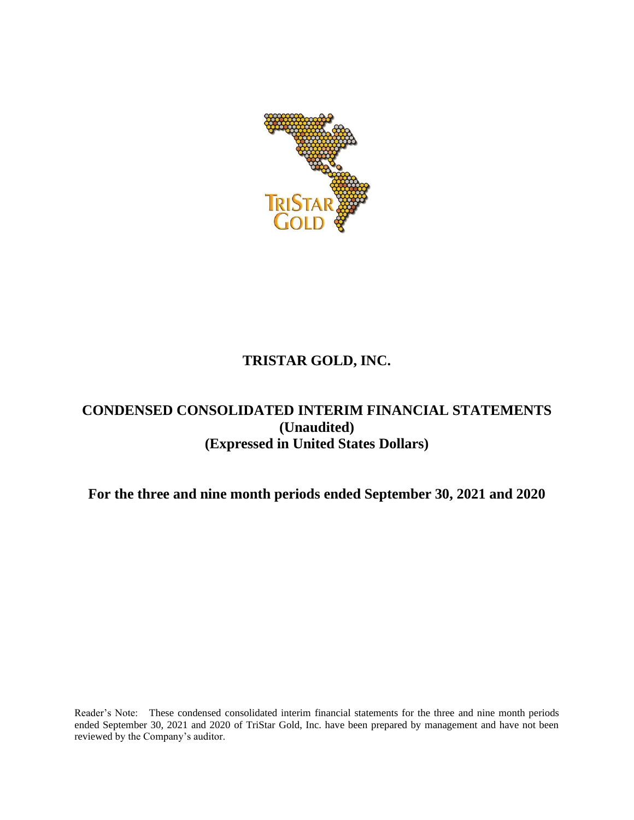

# **TRISTAR GOLD, INC.**

## **CONDENSED CONSOLIDATED INTERIM FINANCIAL STATEMENTS (Unaudited) (Expressed in United States Dollars)**

**For the three and nine month periods ended September 30, 2021 and 2020**

Reader's Note: These condensed consolidated interim financial statements for the three and nine month periods ended September 30, 2021 and 2020 of TriStar Gold, Inc. have been prepared by management and have not been reviewed by the Company's auditor.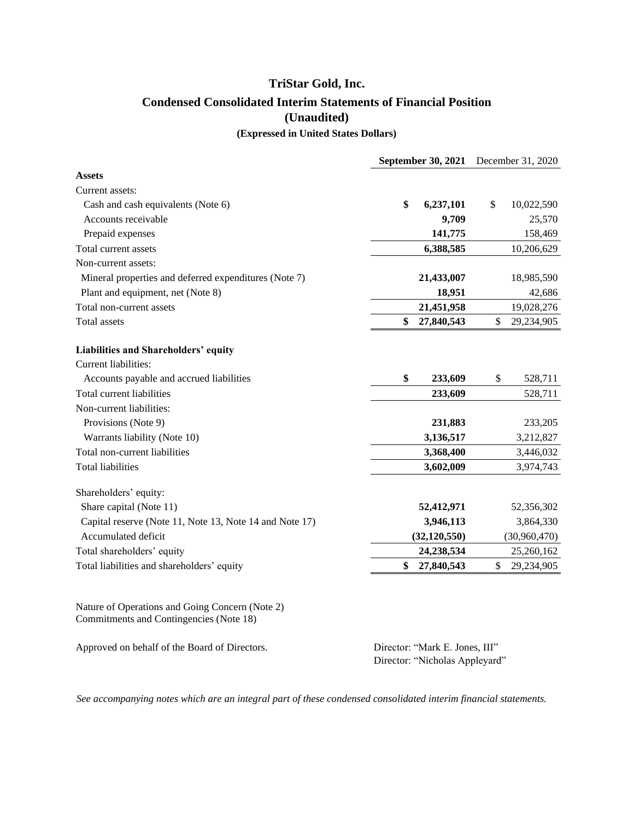## **TriStar Gold, Inc. Condensed Consolidated Interim Statements of Financial Position (Unaudited) (Expressed in United States Dollars)**

|                                                                                            | <b>September 30, 2021</b> | December 31, 2020 |              |
|--------------------------------------------------------------------------------------------|---------------------------|-------------------|--------------|
| <b>Assets</b>                                                                              |                           |                   |              |
| Current assets:                                                                            |                           |                   |              |
| Cash and cash equivalents (Note 6)                                                         | \$<br>6,237,101           | \$                | 10,022,590   |
| Accounts receivable                                                                        | 9,709                     |                   | 25,570       |
| Prepaid expenses                                                                           | 141,775                   |                   | 158,469      |
| Total current assets                                                                       | 6,388,585                 |                   | 10,206,629   |
| Non-current assets:                                                                        |                           |                   |              |
| Mineral properties and deferred expenditures (Note 7)                                      | 21,433,007                |                   | 18,985,590   |
| Plant and equipment, net (Note 8)                                                          | 18,951                    |                   | 42,686       |
| Total non-current assets                                                                   | 21,451,958                |                   | 19,028,276   |
| <b>Total assets</b>                                                                        | \$<br>27,840,543          | \$                | 29,234,905   |
| Liabilities and Shareholders' equity                                                       |                           |                   |              |
| Current liabilities:                                                                       |                           |                   |              |
| Accounts payable and accrued liabilities                                                   | \$<br>233,609             | \$                | 528,711      |
| Total current liabilities                                                                  | 233,609                   |                   | 528,711      |
| Non-current liabilities:                                                                   |                           |                   |              |
| Provisions (Note 9)                                                                        | 231,883                   |                   | 233,205      |
| Warrants liability (Note 10)                                                               | 3,136,517                 |                   | 3,212,827    |
| Total non-current liabilities                                                              | 3,368,400                 |                   | 3,446,032    |
| <b>Total liabilities</b>                                                                   | 3,602,009                 |                   | 3,974,743    |
| Shareholders' equity:                                                                      |                           |                   |              |
| Share capital (Note 11)                                                                    | 52,412,971                |                   | 52,356,302   |
| Capital reserve (Note 11, Note 13, Note 14 and Note 17)                                    | 3,946,113                 |                   | 3,864,330    |
| Accumulated deficit                                                                        | (32, 120, 550)            |                   | (30,960,470) |
| Total shareholders' equity                                                                 | 24,238,534                |                   | 25,260,162   |
| Total liabilities and shareholders' equity                                                 | \$<br>27,840,543          | \$                | 29,234,905   |
| Nature of Operations and Going Concern (Note 2)<br>Commitments and Contingencies (Note 18) |                           |                   |              |

*See accompanying notes which are an integral part of these condensed consolidated interim financial statements.*

Approved on behalf of the Board of Directors. Director: "Mark E. Jones, III"

Director: "Nicholas Appleyard"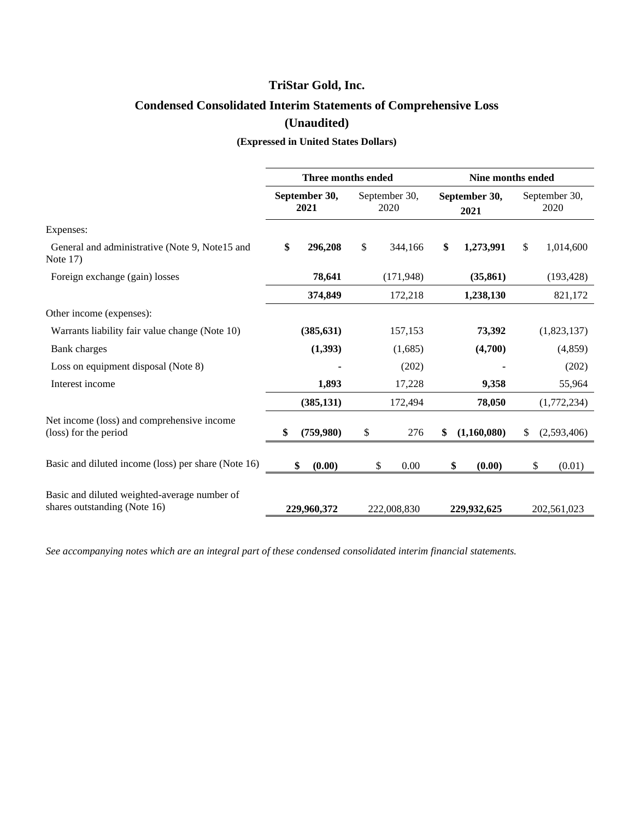# **Condensed Consolidated Interim Statements of Comprehensive Loss (Unaudited)**

**(Expressed in United States Dollars)**

|                                                                              | Three months ended    |                       | Nine months ended     |                       |
|------------------------------------------------------------------------------|-----------------------|-----------------------|-----------------------|-----------------------|
|                                                                              | September 30,<br>2021 | September 30,<br>2020 | September 30,<br>2021 | September 30,<br>2020 |
| Expenses:                                                                    |                       |                       |                       |                       |
| General and administrative (Note 9, Note 15 and<br>Note $17$ )               | \$<br>296,208         | \$<br>344,166         | \$<br>1,273,991       | \$<br>1,014,600       |
| Foreign exchange (gain) losses                                               | 78,641                | (171, 948)            | (35, 861)             | (193, 428)            |
|                                                                              | 374,849               | 172,218               | 1,238,130             | 821,172               |
| Other income (expenses):                                                     |                       |                       |                       |                       |
| Warrants liability fair value change (Note 10)                               | (385, 631)            | 157,153               | 73,392                | (1,823,137)           |
| Bank charges                                                                 | (1, 393)              | (1,685)               | (4,700)               | (4, 859)              |
| Loss on equipment disposal (Note 8)                                          |                       | (202)                 |                       | (202)                 |
| Interest income                                                              | 1,893                 | 17,228                | 9,358                 | 55,964                |
|                                                                              | (385, 131)            | 172,494               | 78,050                | (1,772,234)           |
| Net income (loss) and comprehensive income<br>(loss) for the period          | \$<br>(759,980)       | \$<br>276             | \$<br>(1,160,080)     | (2,593,406)<br>S      |
| Basic and diluted income (loss) per share (Note 16)                          | \$<br>(0.00)          | \$<br>0.00            | \$<br>(0.00)          | \$<br>(0.01)          |
| Basic and diluted weighted-average number of<br>shares outstanding (Note 16) | 229,960,372           | 222,008,830           | 229,932,625           | 202,561,023           |

*See accompanying notes which are an integral part of these condensed consolidated interim financial statements.*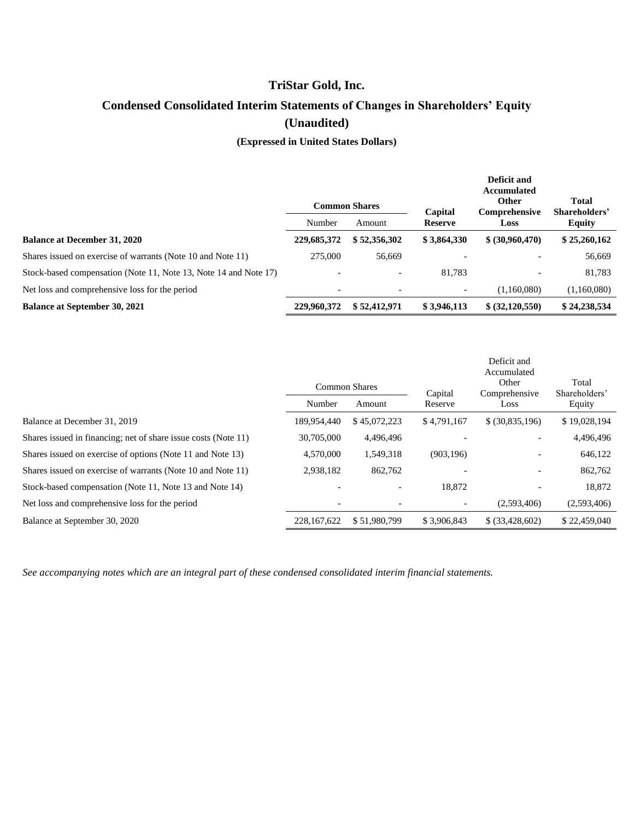# **Condensed Consolidated Interim Statements of Changes in Shareholders' Equity (Unaudited)**

**(Expressed in United States Dollars)**

|                                                                  |             | <b>Common Shares</b>     | Capital                  | Deficit and<br>Accumulated<br><b>Other</b><br>Comprehensive | <b>Total</b><br>Shareholders' |  |
|------------------------------------------------------------------|-------------|--------------------------|--------------------------|-------------------------------------------------------------|-------------------------------|--|
|                                                                  | Number      | Amount                   | <b>Reserve</b>           | Loss                                                        | <b>Equity</b>                 |  |
| <b>Balance at December 31, 2020</b>                              | 229,685,372 | \$52,356,302             | \$3,864,330              | \$ (30,960,470)                                             | \$25,260,162                  |  |
| Shares issued on exercise of warrants (Note 10 and Note 11)      | 275,000     | 56,669                   |                          |                                                             | 56,669                        |  |
| Stock-based compensation (Note 11, Note 13, Note 14 and Note 17) |             | $\overline{\phantom{a}}$ | 81.783                   |                                                             | 81,783                        |  |
| Net loss and comprehensive loss for the period                   | -           |                          | $\overline{\phantom{0}}$ | (1,160,080)                                                 | (1,160,080)                   |  |
| <b>Balance at September 30, 2021</b>                             | 229,960,372 | \$52,412,971             | \$3,946,113              | \$ (32,120,550)                                             | \$24,238,534                  |  |

|                                                                |                      |              |             | Deficit and<br>Accumulated |                        |
|----------------------------------------------------------------|----------------------|--------------|-------------|----------------------------|------------------------|
|                                                                | <b>Common Shares</b> |              | Capital     | Other<br>Comprehensive     | Total<br>Shareholders' |
|                                                                | Number               | Amount       | Reserve     | Loss                       | Equity                 |
| Balance at December 31, 2019                                   | 189.954.440          | \$45,072,223 | \$4,791,167 | \$ (30,835,196)            | \$19,028,194           |
| Shares issued in financing; net of share issue costs (Note 11) | 30,705,000           | 4,496,496    |             |                            | 4,496,496              |
| Shares issued on exercise of options (Note 11 and Note 13)     | 4,570,000            | 1,549,318    | (903, 196)  | $\overline{\phantom{a}}$   | 646,122                |
| Shares issued on exercise of warrants (Note 10 and Note 11)    | 2,938,182            | 862,762      |             | $\overline{\phantom{a}}$   | 862,762                |
| Stock-based compensation (Note 11, Note 13 and Note 14)        |                      |              | 18,872      |                            | 18,872                 |
| Net loss and comprehensive loss for the period                 |                      |              |             | (2,593,406)                | (2,593,406)            |
| Balance at September 30, 2020                                  | 228, 167, 622        | \$51,980,799 | \$3,906,843 | \$ (33,428,602)            | \$22,459,040           |

*See accompanying notes which are an integral part of these condensed consolidated interim financial statements.*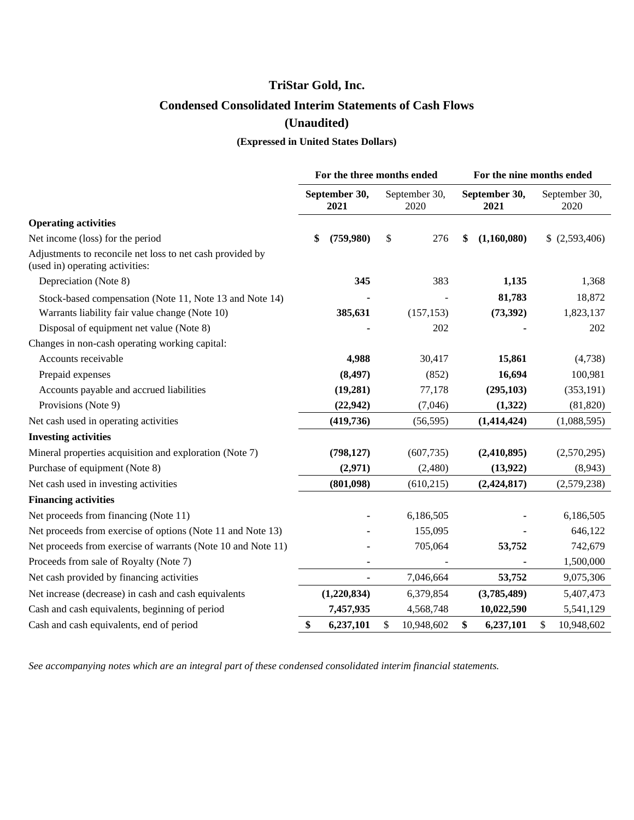# **TriStar Gold, Inc. Condensed Consolidated Interim Statements of Cash Flows (Unaudited)**

## **(Expressed in United States Dollars)**

|                                                                                              |                       | For the three months ended | For the nine months ended |                       |  |  |
|----------------------------------------------------------------------------------------------|-----------------------|----------------------------|---------------------------|-----------------------|--|--|
|                                                                                              | September 30,<br>2021 | September 30,<br>2020      | September 30,<br>2021     | September 30,<br>2020 |  |  |
| <b>Operating activities</b>                                                                  |                       |                            |                           |                       |  |  |
| Net income (loss) for the period                                                             | \$<br>(759,980)       | \$<br>276                  | (1,160,080)<br>\$         | \$ (2,593,406)        |  |  |
| Adjustments to reconcile net loss to net cash provided by<br>(used in) operating activities: |                       |                            |                           |                       |  |  |
| Depreciation (Note 8)                                                                        | 345                   | 383                        | 1,135                     | 1,368                 |  |  |
| Stock-based compensation (Note 11, Note 13 and Note 14)                                      |                       |                            | 81,783                    | 18,872                |  |  |
| Warrants liability fair value change (Note 10)                                               | 385,631               | (157, 153)                 | (73, 392)                 | 1,823,137             |  |  |
| Disposal of equipment net value (Note 8)                                                     |                       | 202                        |                           | 202                   |  |  |
| Changes in non-cash operating working capital:                                               |                       |                            |                           |                       |  |  |
| Accounts receivable                                                                          | 4,988                 | 30,417                     | 15,861                    | (4,738)               |  |  |
| Prepaid expenses                                                                             | (8, 497)              | (852)                      | 16,694                    | 100,981               |  |  |
| Accounts payable and accrued liabilities                                                     | (19, 281)             | 77,178                     | (295, 103)                | (353, 191)            |  |  |
| Provisions (Note 9)                                                                          | (22, 942)             | (7,046)                    | (1,322)                   | (81, 820)             |  |  |
| Net cash used in operating activities                                                        | (419,736)             | (56, 595)                  | (1, 414, 424)             | (1,088,595)           |  |  |
| <b>Investing activities</b>                                                                  |                       |                            |                           |                       |  |  |
| Mineral properties acquisition and exploration (Note 7)                                      | (798, 127)            | (607, 735)                 | (2,410,895)               | (2,570,295)           |  |  |
| Purchase of equipment (Note 8)                                                               | (2,971)               | (2,480)                    | (13, 922)                 | (8,943)               |  |  |
| Net cash used in investing activities                                                        | (801,098)             | (610, 215)                 | (2,424,817)               | (2,579,238)           |  |  |
| <b>Financing activities</b>                                                                  |                       |                            |                           |                       |  |  |
| Net proceeds from financing (Note 11)                                                        |                       | 6,186,505                  |                           | 6,186,505             |  |  |
| Net proceeds from exercise of options (Note 11 and Note 13)                                  |                       | 155,095                    |                           | 646,122               |  |  |
| Net proceeds from exercise of warrants (Note 10 and Note 11)                                 |                       | 705,064                    | 53,752                    | 742,679               |  |  |
| Proceeds from sale of Royalty (Note 7)                                                       |                       |                            |                           | 1,500,000             |  |  |
| Net cash provided by financing activities                                                    | ä,                    | 7,046,664                  | 53,752                    | 9,075,306             |  |  |
| Net increase (decrease) in cash and cash equivalents                                         | (1,220,834)           | 6,379,854                  | (3,785,489)               | 5,407,473             |  |  |
| Cash and cash equivalents, beginning of period                                               | 7,457,935             | 4,568,748                  | 10,022,590                | 5,541,129             |  |  |
| Cash and cash equivalents, end of period                                                     | \$<br>6,237,101       | \$<br>10,948,602           | \$<br>6,237,101           | \$<br>10,948,602      |  |  |

*See accompanying notes which are an integral part of these condensed consolidated interim financial statements.*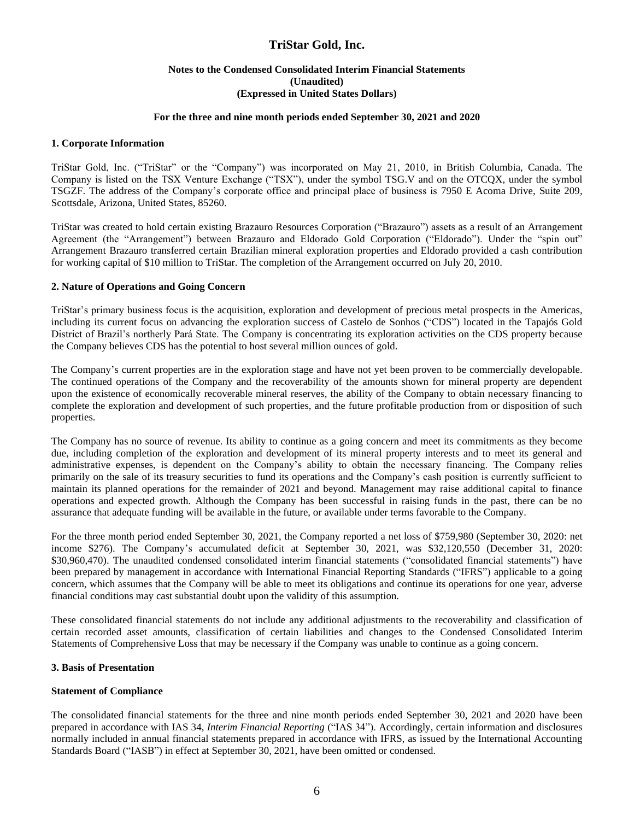#### **Notes to the Condensed Consolidated Interim Financial Statements (Unaudited) (Expressed in United States Dollars)**

#### **For the three and nine month periods ended September 30, 2021 and 2020**

#### **1. Corporate Information**

TriStar Gold, Inc. ("TriStar" or the "Company") was incorporated on May 21, 2010, in British Columbia, Canada. The Company is listed on the TSX Venture Exchange ("TSX"), under the symbol TSG.V and on the OTCQX, under the symbol TSGZF. The address of the Company's corporate office and principal place of business is 7950 E Acoma Drive, Suite 209, Scottsdale, Arizona, United States, 85260.

TriStar was created to hold certain existing Brazauro Resources Corporation ("Brazauro") assets as a result of an Arrangement Agreement (the "Arrangement") between Brazauro and Eldorado Gold Corporation ("Eldorado"). Under the "spin out" Arrangement Brazauro transferred certain Brazilian mineral exploration properties and Eldorado provided a cash contribution for working capital of \$10 million to TriStar. The completion of the Arrangement occurred on July 20, 2010.

#### **2. Nature of Operations and Going Concern**

TriStar's primary business focus is the acquisition, exploration and development of precious metal prospects in the Americas, including its current focus on advancing the exploration success of Castelo de Sonhos ("CDS") located in the Tapajós Gold District of Brazil's northerly Pará State. The Company is concentrating its exploration activities on the CDS property because the Company believes CDS has the potential to host several million ounces of gold.

The Company's current properties are in the exploration stage and have not yet been proven to be commercially developable. The continued operations of the Company and the recoverability of the amounts shown for mineral property are dependent upon the existence of economically recoverable mineral reserves, the ability of the Company to obtain necessary financing to complete the exploration and development of such properties, and the future profitable production from or disposition of such properties.

The Company has no source of revenue. Its ability to continue as a going concern and meet its commitments as they become due, including completion of the exploration and development of its mineral property interests and to meet its general and administrative expenses, is dependent on the Company's ability to obtain the necessary financing. The Company relies primarily on the sale of its treasury securities to fund its operations and the Company's cash position is currently sufficient to maintain its planned operations for the remainder of 2021 and beyond. Management may raise additional capital to finance operations and expected growth. Although the Company has been successful in raising funds in the past, there can be no assurance that adequate funding will be available in the future, or available under terms favorable to the Company.

For the three month period ended September 30, 2021, the Company reported a net loss of \$759,980 (September 30, 2020: net income \$276). The Company's accumulated deficit at September 30, 2021, was \$32,120,550 (December 31, 2020: \$30,960,470). The unaudited condensed consolidated interim financial statements ("consolidated financial statements") have been prepared by management in accordance with International Financial Reporting Standards ("IFRS") applicable to a going concern, which assumes that the Company will be able to meet its obligations and continue its operations for one year, adverse financial conditions may cast substantial doubt upon the validity of this assumption.

These consolidated financial statements do not include any additional adjustments to the recoverability and classification of certain recorded asset amounts, classification of certain liabilities and changes to the Condensed Consolidated Interim Statements of Comprehensive Loss that may be necessary if the Company was unable to continue as a going concern.

#### **3. Basis of Presentation**

#### **Statement of Compliance**

The consolidated financial statements for the three and nine month periods ended September 30, 2021 and 2020 have been prepared in accordance with IAS 34, *Interim Financial Reporting* ("IAS 34"). Accordingly, certain information and disclosures normally included in annual financial statements prepared in accordance with IFRS, as issued by the International Accounting Standards Board ("IASB") in effect at September 30, 2021, have been omitted or condensed.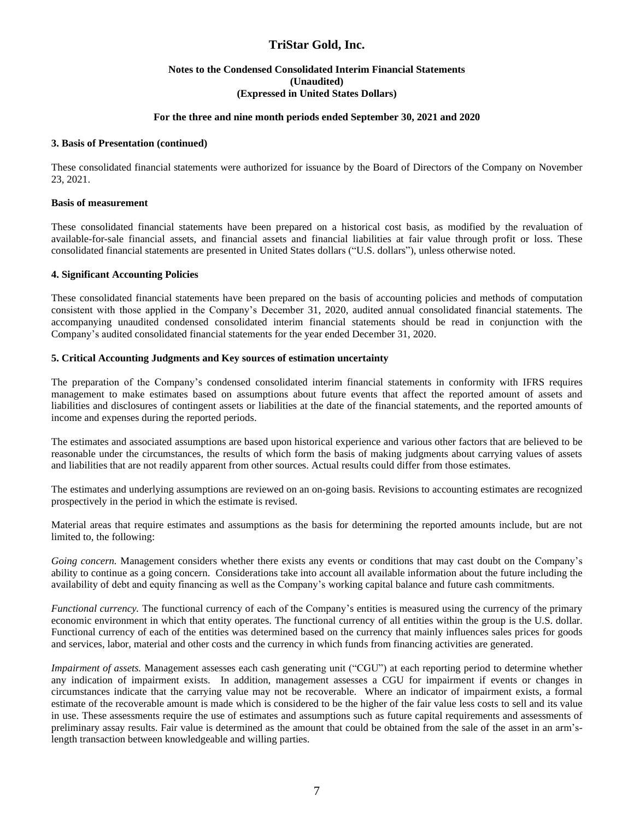#### **Notes to the Condensed Consolidated Interim Financial Statements (Unaudited) (Expressed in United States Dollars)**

#### **For the three and nine month periods ended September 30, 2021 and 2020**

#### **3. Basis of Presentation (continued)**

These consolidated financial statements were authorized for issuance by the Board of Directors of the Company on November 23, 2021.

#### **Basis of measurement**

These consolidated financial statements have been prepared on a historical cost basis, as modified by the revaluation of available-for-sale financial assets, and financial assets and financial liabilities at fair value through profit or loss. These consolidated financial statements are presented in United States dollars ("U.S. dollars"), unless otherwise noted.

#### **4. Significant Accounting Policies**

These consolidated financial statements have been prepared on the basis of accounting policies and methods of computation consistent with those applied in the Company's December 31, 2020, audited annual consolidated financial statements. The accompanying unaudited condensed consolidated interim financial statements should be read in conjunction with the Company's audited consolidated financial statements for the year ended December 31, 2020.

#### **5. Critical Accounting Judgments and Key sources of estimation uncertainty**

The preparation of the Company's condensed consolidated interim financial statements in conformity with IFRS requires management to make estimates based on assumptions about future events that affect the reported amount of assets and liabilities and disclosures of contingent assets or liabilities at the date of the financial statements, and the reported amounts of income and expenses during the reported periods.

The estimates and associated assumptions are based upon historical experience and various other factors that are believed to be reasonable under the circumstances, the results of which form the basis of making judgments about carrying values of assets and liabilities that are not readily apparent from other sources. Actual results could differ from those estimates.

The estimates and underlying assumptions are reviewed on an on-going basis. Revisions to accounting estimates are recognized prospectively in the period in which the estimate is revised.

Material areas that require estimates and assumptions as the basis for determining the reported amounts include, but are not limited to, the following:

*Going concern.* Management considers whether there exists any events or conditions that may cast doubt on the Company's ability to continue as a going concern. Considerations take into account all available information about the future including the availability of debt and equity financing as well as the Company's working capital balance and future cash commitments.

*Functional currency.* The functional currency of each of the Company's entities is measured using the currency of the primary economic environment in which that entity operates. The functional currency of all entities within the group is the U.S. dollar. Functional currency of each of the entities was determined based on the currency that mainly influences sales prices for goods and services, labor, material and other costs and the currency in which funds from financing activities are generated.

*Impairment of assets.* Management assesses each cash generating unit ("CGU") at each reporting period to determine whether any indication of impairment exists. In addition, management assesses a CGU for impairment if events or changes in circumstances indicate that the carrying value may not be recoverable. Where an indicator of impairment exists, a formal estimate of the recoverable amount is made which is considered to be the higher of the fair value less costs to sell and its value in use. These assessments require the use of estimates and assumptions such as future capital requirements and assessments of preliminary assay results. Fair value is determined as the amount that could be obtained from the sale of the asset in an arm'slength transaction between knowledgeable and willing parties.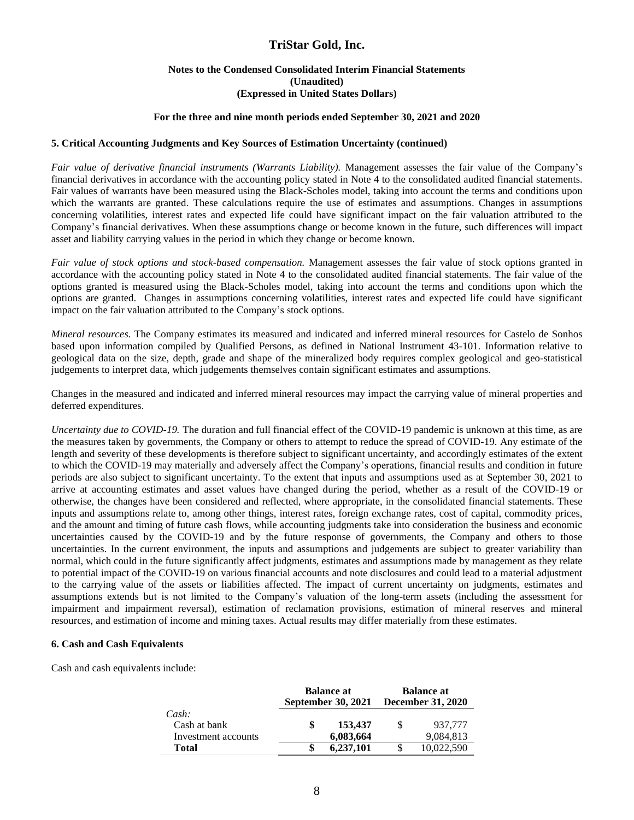#### **Notes to the Condensed Consolidated Interim Financial Statements (Unaudited) (Expressed in United States Dollars)**

#### **For the three and nine month periods ended September 30, 2021 and 2020**

#### **5. Critical Accounting Judgments and Key Sources of Estimation Uncertainty (continued)**

*Fair value of derivative financial instruments (Warrants Liability).* Management assesses the fair value of the Company's financial derivatives in accordance with the accounting policy stated in Note 4 to the consolidated audited financial statements. Fair values of warrants have been measured using the Black-Scholes model, taking into account the terms and conditions upon which the warrants are granted. These calculations require the use of estimates and assumptions. Changes in assumptions concerning volatilities, interest rates and expected life could have significant impact on the fair valuation attributed to the Company's financial derivatives. When these assumptions change or become known in the future, such differences will impact asset and liability carrying values in the period in which they change or become known.

*Fair value of stock options and stock-based compensation.* Management assesses the fair value of stock options granted in accordance with the accounting policy stated in Note 4 to the consolidated audited financial statements. The fair value of the options granted is measured using the Black-Scholes model, taking into account the terms and conditions upon which the options are granted. Changes in assumptions concerning volatilities, interest rates and expected life could have significant impact on the fair valuation attributed to the Company's stock options.

*Mineral resources.* The Company estimates its measured and indicated and inferred mineral resources for Castelo de Sonhos based upon information compiled by Qualified Persons, as defined in National Instrument 43-101. Information relative to geological data on the size, depth, grade and shape of the mineralized body requires complex geological and geo-statistical judgements to interpret data, which judgements themselves contain significant estimates and assumptions.

Changes in the measured and indicated and inferred mineral resources may impact the carrying value of mineral properties and deferred expenditures.

*Uncertainty due to COVID-19.* The duration and full financial effect of the COVID-19 pandemic is unknown at this time, as are the measures taken by governments, the Company or others to attempt to reduce the spread of COVID-19. Any estimate of the length and severity of these developments is therefore subject to significant uncertainty, and accordingly estimates of the extent to which the COVID-19 may materially and adversely affect the Company's operations, financial results and condition in future periods are also subject to significant uncertainty. To the extent that inputs and assumptions used as at September 30, 2021 to arrive at accounting estimates and asset values have changed during the period, whether as a result of the COVID-19 or otherwise, the changes have been considered and reflected, where appropriate, in the consolidated financial statements. These inputs and assumptions relate to, among other things, interest rates, foreign exchange rates, cost of capital, commodity prices, and the amount and timing of future cash flows, while accounting judgments take into consideration the business and economic uncertainties caused by the COVID-19 and by the future response of governments, the Company and others to those uncertainties. In the current environment, the inputs and assumptions and judgements are subject to greater variability than normal, which could in the future significantly affect judgments, estimates and assumptions made by management as they relate to potential impact of the COVID-19 on various financial accounts and note disclosures and could lead to a material adjustment to the carrying value of the assets or liabilities affected. The impact of current uncertainty on judgments, estimates and assumptions extends but is not limited to the Company's valuation of the long-term assets (including the assessment for impairment and impairment reversal), estimation of reclamation provisions, estimation of mineral reserves and mineral resources, and estimation of income and mining taxes. Actual results may differ materially from these estimates.

#### **6. Cash and Cash Equivalents**

Cash and cash equivalents include:

|                                              | <b>Balance at</b><br><b>September 30, 2021</b> | <b>Balance at</b><br><b>December 31, 2020</b> |                      |  |  |
|----------------------------------------------|------------------------------------------------|-----------------------------------------------|----------------------|--|--|
| Cash:<br>Cash at bank<br>Investment accounts | 153,437<br>6,083,664                           |                                               | 937.777<br>9,084,813 |  |  |
| Total                                        | 6.237.101                                      |                                               | 10.022.590           |  |  |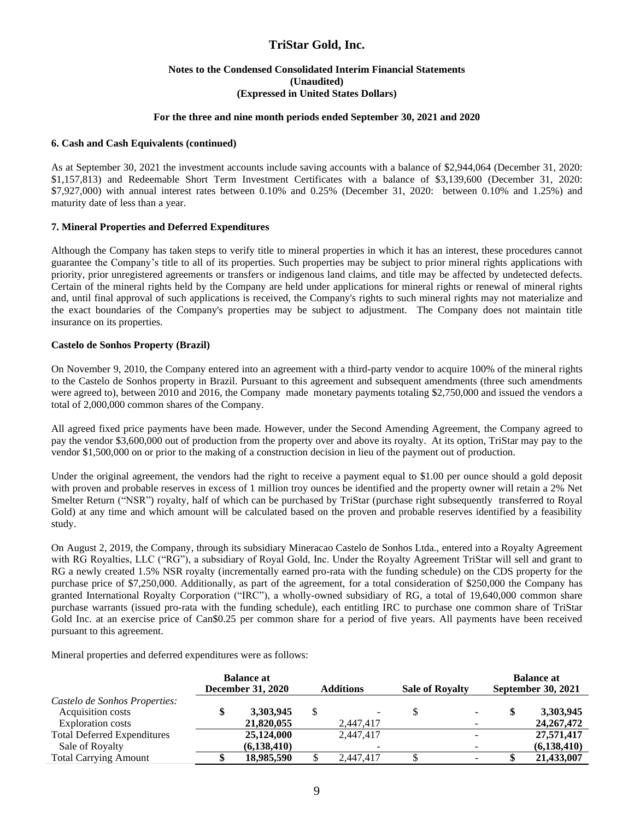#### **Notes to the Condensed Consolidated Interim Financial Statements (Unaudited) (Expressed in United States Dollars)**

#### **For the three and nine month periods ended September 30, 2021 and 2020**

#### **6. Cash and Cash Equivalents (continued)**

As at September 30, 2021 the investment accounts include saving accounts with a balance of \$2,944,064 (December 31, 2020: \$1,157,813) and Redeemable Short Term Investment Certificates with a balance of \$3,139,600 (December 31, 2020: \$7,927,000) with annual interest rates between 0.10% and 0.25% (December 31, 2020: between 0.10% and 1.25%) and maturity date of less than a year.

#### **7. Mineral Properties and Deferred Expenditures**

Although the Company has taken steps to verify title to mineral properties in which it has an interest, these procedures cannot guarantee the Company's title to all of its properties. Such properties may be subject to prior mineral rights applications with priority, prior unregistered agreements or transfers or indigenous land claims, and title may be affected by undetected defects. Certain of the mineral rights held by the Company are held under applications for mineral rights or renewal of mineral rights and, until final approval of such applications is received, the Company's rights to such mineral rights may not materialize and the exact boundaries of the Company's properties may be subject to adjustment. The Company does not maintain title insurance on its properties.

#### **Castelo de Sonhos Property (Brazil)**

On November 9, 2010, the Company entered into an agreement with a third-party vendor to acquire 100% of the mineral rights to the Castelo de Sonhos property in Brazil. Pursuant to this agreement and subsequent amendments (three such amendments were agreed to), between 2010 and 2016, the Company made monetary payments totaling \$2,750,000 and issued the vendors a total of 2,000,000 common shares of the Company.

All agreed fixed price payments have been made. However, under the Second Amending Agreement, the Company agreed to pay the vendor \$3,600,000 out of production from the property over and above its royalty. At its option, TriStar may pay to the vendor \$1,500,000 on or prior to the making of a construction decision in lieu of the payment out of production.

Under the original agreement, the vendors had the right to receive a payment equal to \$1.00 per ounce should a gold deposit with proven and probable reserves in excess of 1 million troy ounces be identified and the property owner will retain a 2% Net Smelter Return ("NSR") royalty, half of which can be purchased by TriStar (purchase right subsequently transferred to Royal Gold) at any time and which amount will be calculated based on the proven and probable reserves identified by a feasibility study.

On August 2, 2019, the Company, through its subsidiary Mineracao Castelo de Sonhos Ltda., entered into a Royalty Agreement with RG Royalties, LLC ("RG"), a subsidiary of Royal Gold, Inc. Under the Royalty Agreement TriStar will sell and grant to RG a newly created 1.5% NSR royalty (incrementally earned pro-rata with the funding schedule) on the CDS property for the purchase price of \$7,250,000. Additionally, as part of the agreement, for a total consideration of \$250,000 the Company has granted International Royalty Corporation ("IRC"), a wholly-owned subsidiary of RG, a total of 19,640,000 common share purchase warrants (issued pro-rata with the funding schedule), each entitling IRC to purchase one common share of TriStar Gold Inc. at an exercise price of Can\$0.25 per common share for a period of five years. All payments have been received pursuant to this agreement.

Mineral properties and deferred expenditures were as follows:

|                                                                         |   | <b>Balance at</b><br><b>December 31, 2020</b> | <b>Additions</b> | <b>Sale of Royalty</b> | <b>Balance at</b><br><b>September 30, 2021</b> |                             |  |
|-------------------------------------------------------------------------|---|-----------------------------------------------|------------------|------------------------|------------------------------------------------|-----------------------------|--|
| Castelo de Sonhos Properties:<br>Acquisition costs<br>Exploration costs | S | 3,303,945<br>21,820,055                       | 2,447,417        |                        | \$                                             | 3,303,945<br>24, 267, 472   |  |
| <b>Total Deferred Expenditures</b><br>Sale of Royalty                   |   | 25,124,000<br>(6, 138, 410)                   | 2.447.417<br>-   |                        |                                                | 27,571,417<br>(6, 138, 410) |  |
| <b>Total Carrying Amount</b>                                            |   | 18,985,590                                    | 2.447.417        |                        |                                                | 21,433,007                  |  |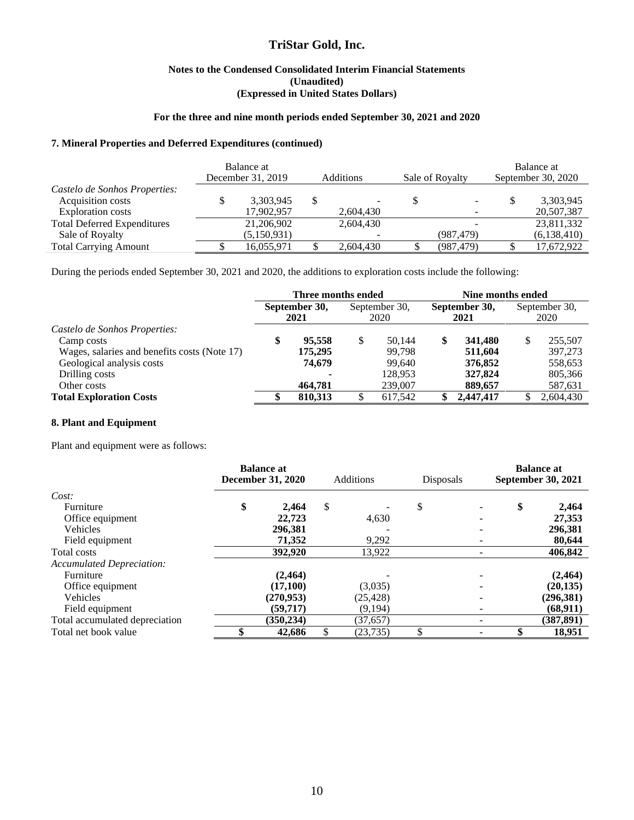#### **Notes to the Condensed Consolidated Interim Financial Statements (Unaudited) (Expressed in United States Dollars)**

#### **For the three and nine month periods ended September 30, 2021 and 2020**

#### **7. Mineral Properties and Deferred Expenditures (continued)**

|                                    | Balance at<br>December 31, 2019 | <b>Additions</b> | Sale of Royalty | Balance at<br>September 30, 2020 |             |  |
|------------------------------------|---------------------------------|------------------|-----------------|----------------------------------|-------------|--|
| Castelo de Sonhos Properties:      |                                 |                  |                 |                                  |             |  |
| Acquisition costs                  | 3,303,945                       |                  |                 |                                  | 3,303,945   |  |
| Exploration costs                  | 17,902,957                      | 2,604,430        |                 |                                  | 20,507,387  |  |
| <b>Total Deferred Expenditures</b> | 21,206,902                      | 2,604,430        |                 |                                  | 23,811,332  |  |
| Sale of Royalty                    | (5,150,931)                     |                  | (987, 479)      |                                  | (6,138,410) |  |
| <b>Total Carrying Amount</b>       | 16,055,971                      | 2.604.430        | (987, 479)      |                                  | 17,672,922  |  |

During the periods ended September 30, 2021 and 2020, the additions to exploration costs include the following:

|                                              | Three months ended    |         |                       |         | Nine months ended     |           |                       |           |
|----------------------------------------------|-----------------------|---------|-----------------------|---------|-----------------------|-----------|-----------------------|-----------|
|                                              | September 30,<br>2021 |         | September 30,<br>2020 |         | September 30,<br>2021 |           | September 30,<br>2020 |           |
| Castelo de Sonhos Properties:                |                       |         |                       |         |                       |           |                       |           |
| Camp costs                                   | S                     | 95.558  | S                     | 50,144  | \$                    | 341,480   | \$                    | 255,507   |
| Wages, salaries and benefits costs (Note 17) |                       | 175,295 |                       | 99.798  |                       | 511,604   |                       | 397,273   |
| Geological analysis costs                    |                       | 74.679  |                       | 99.640  |                       | 376,852   |                       | 558,653   |
| Drilling costs                               |                       |         |                       | 128.953 |                       | 327,824   |                       | 805,366   |
| Other costs                                  |                       | 464,781 |                       | 239,007 |                       | 889,657   |                       | 587,631   |
| <b>Total Exploration Costs</b>               |                       | 810,313 |                       | 617,542 |                       | 2,447,417 |                       | 2,604,430 |

#### **8. Plant and Equipment**

Plant and equipment were as follows:

|                                  | <b>Balance at</b><br><b>December 31, 2020</b> | <b>Additions</b> | <b>Disposals</b> | <b>Balance at</b><br>September 30, 2021 |            |  |
|----------------------------------|-----------------------------------------------|------------------|------------------|-----------------------------------------|------------|--|
| Cost:                            |                                               |                  |                  |                                         |            |  |
| Furniture                        | \$<br>2.464                                   | \$               | \$               | \$                                      | 2,464      |  |
| Office equipment                 | 22,723                                        | 4,630            |                  |                                         | 27,353     |  |
| <b>Vehicles</b>                  | 296,381                                       |                  |                  |                                         | 296,381    |  |
| Field equipment                  | 71,352                                        | 9,292            |                  |                                         | 80,644     |  |
| Total costs                      | 392,920                                       | 13,922           |                  |                                         | 406,842    |  |
| <b>Accumulated Depreciation:</b> |                                               |                  |                  |                                         |            |  |
| Furniture                        | (2, 464)                                      |                  |                  |                                         | (2, 464)   |  |
| Office equipment                 | (17,100)                                      | (3,035)          |                  |                                         | (20, 135)  |  |
| Vehicles                         | (270,953)                                     | (25, 428)        |                  |                                         | (296, 381) |  |
| Field equipment                  | (59.717)                                      | (9,194)          |                  |                                         | (68, 911)  |  |
| Total accumulated depreciation   | (350, 234)                                    | (37, 657)        |                  |                                         | (387, 891) |  |
| Total net book value             | 42,686                                        | \$<br>(23, 735)  |                  |                                         | 18,951     |  |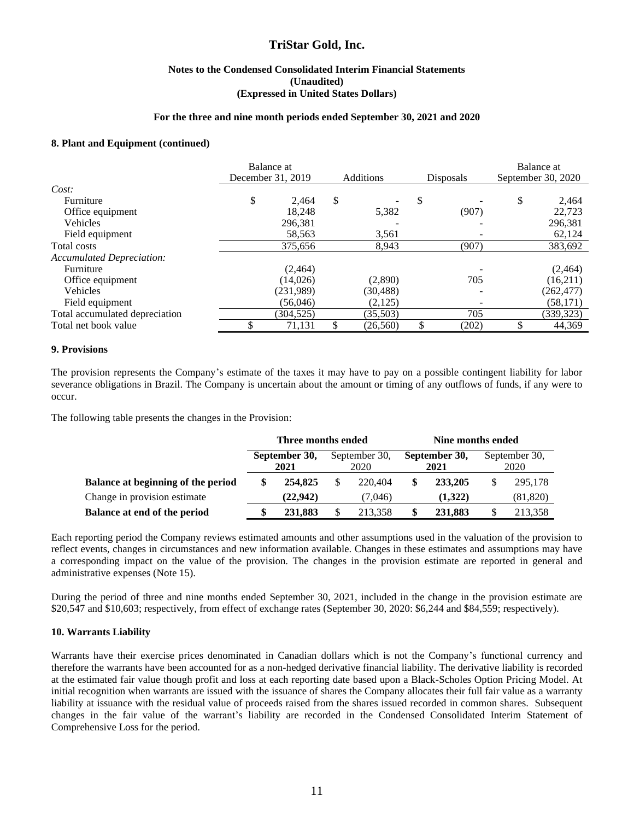#### **Notes to the Condensed Consolidated Interim Financial Statements (Unaudited) (Expressed in United States Dollars)**

#### **For the three and nine month periods ended September 30, 2021 and 2020**

#### **8. Plant and Equipment (continued)**

|                                  | Balance at<br>December 31, 2019 |            | <b>Additions</b> |    | Disposals |   | Balance at<br>September 30, 2020 |  |
|----------------------------------|---------------------------------|------------|------------------|----|-----------|---|----------------------------------|--|
| Cost:                            |                                 |            |                  |    |           |   |                                  |  |
| Furniture                        | \$                              | 2.464      | \$               | \$ |           | S | 2,464                            |  |
| Office equipment                 |                                 | 18.248     | 5,382            |    | (907)     |   | 22,723                           |  |
| Vehicles                         |                                 | 296,381    |                  |    |           |   | 296,381                          |  |
| Field equipment                  |                                 | 58,563     | 3,561            |    |           |   | 62,124                           |  |
| Total costs                      |                                 | 375,656    | 8,943            |    | (907)     |   | 383,692                          |  |
| <b>Accumulated Depreciation:</b> |                                 |            |                  |    |           |   |                                  |  |
| Furniture                        |                                 | (2, 464)   |                  |    |           |   | (2,464)                          |  |
| Office equipment                 |                                 | (14,026)   | (2,890)          |    | 705       |   | (16,211)                         |  |
| Vehicles                         |                                 | (231,989)  | (30, 488)        |    |           |   | (262, 477)                       |  |
| Field equipment                  |                                 | (56,046)   | (2,125)          |    |           |   | (58, 171)                        |  |
| Total accumulated depreciation   |                                 | (304, 525) | (35,503)         |    | 705       |   | (339, 323)                       |  |
| Total net book value             |                                 | 71,131     | (26, 560)        |    | (202)     |   | 44,369                           |  |

#### **9. Provisions**

The provision represents the Company's estimate of the taxes it may have to pay on a possible contingent liability for labor severance obligations in Brazil. The Company is uncertain about the amount or timing of any outflows of funds, if any were to occur.

The following table presents the changes in the Provision:

|                                    | Three months ended    |          |                       |         | Nine months ended |                       |                       |           |  |
|------------------------------------|-----------------------|----------|-----------------------|---------|-------------------|-----------------------|-----------------------|-----------|--|
|                                    | September 30,<br>2021 |          | September 30,<br>2020 |         |                   | September 30,<br>2021 | September 30,<br>2020 |           |  |
| Balance at beginning of the period |                       | 254,825  |                       | 220.404 |                   | 233,205               |                       | 295,178   |  |
| Change in provision estimate       |                       | (22.942) |                       | (7.046) |                   | (1,322)               |                       | (81, 820) |  |
| Balance at end of the period       |                       | 231,883  |                       | 213.358 |                   | 231,883               |                       | 213,358   |  |

Each reporting period the Company reviews estimated amounts and other assumptions used in the valuation of the provision to reflect events, changes in circumstances and new information available. Changes in these estimates and assumptions may have a corresponding impact on the value of the provision. The changes in the provision estimate are reported in general and administrative expenses (Note 15).

During the period of three and nine months ended September 30, 2021, included in the change in the provision estimate are \$20,547 and \$10,603; respectively, from effect of exchange rates (September 30, 2020: \$6,244 and \$84,559; respectively).

#### **10. Warrants Liability**

Warrants have their exercise prices denominated in Canadian dollars which is not the Company's functional currency and therefore the warrants have been accounted for as a non-hedged derivative financial liability. The derivative liability is recorded at the estimated fair value though profit and loss at each reporting date based upon a Black-Scholes Option Pricing Model. At initial recognition when warrants are issued with the issuance of shares the Company allocates their full fair value as a warranty liability at issuance with the residual value of proceeds raised from the shares issued recorded in common shares. Subsequent changes in the fair value of the warrant's liability are recorded in the Condensed Consolidated Interim Statement of Comprehensive Loss for the period.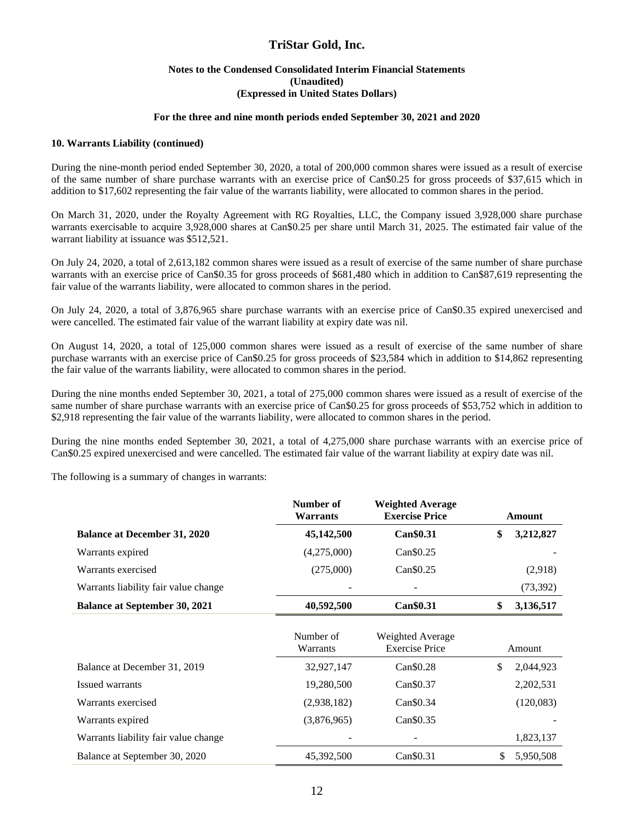#### **Notes to the Condensed Consolidated Interim Financial Statements (Unaudited) (Expressed in United States Dollars)**

#### **For the three and nine month periods ended September 30, 2021 and 2020**

#### **10. Warrants Liability (continued)**

During the nine-month period ended September 30, 2020, a total of 200,000 common shares were issued as a result of exercise of the same number of share purchase warrants with an exercise price of Can\$0.25 for gross proceeds of \$37,615 which in addition to \$17,602 representing the fair value of the warrants liability, were allocated to common shares in the period.

On March 31, 2020, under the Royalty Agreement with RG Royalties, LLC, the Company issued 3,928,000 share purchase warrants exercisable to acquire 3,928,000 shares at Can\$0.25 per share until March 31, 2025. The estimated fair value of the warrant liability at issuance was \$512,521.

On July 24, 2020, a total of 2,613,182 common shares were issued as a result of exercise of the same number of share purchase warrants with an exercise price of Can\$0.35 for gross proceeds of \$681,480 which in addition to Can\$87,619 representing the fair value of the warrants liability, were allocated to common shares in the period.

On July 24, 2020, a total of 3,876,965 share purchase warrants with an exercise price of Can\$0.35 expired unexercised and were cancelled. The estimated fair value of the warrant liability at expiry date was nil.

On August 14, 2020, a total of 125,000 common shares were issued as a result of exercise of the same number of share purchase warrants with an exercise price of Can\$0.25 for gross proceeds of \$23,584 which in addition to \$14,862 representing the fair value of the warrants liability, were allocated to common shares in the period.

During the nine months ended September 30, 2021, a total of 275,000 common shares were issued as a result of exercise of the same number of share purchase warrants with an exercise price of Can\$0.25 for gross proceeds of \$53,752 which in addition to \$2,918 representing the fair value of the warrants liability, were allocated to common shares in the period.

During the nine months ended September 30, 2021, a total of 4,275,000 share purchase warrants with an exercise price of Can\$0.25 expired unexercised and were cancelled. The estimated fair value of the warrant liability at expiry date was nil.

The following is a summary of changes in warrants:

|                                      | Number of<br><b>Warrants</b> | <b>Weighted Average</b><br><b>Exercise Price</b> | Amount |           |  |
|--------------------------------------|------------------------------|--------------------------------------------------|--------|-----------|--|
| <b>Balance at December 31, 2020</b>  | 45,142,500                   | Can\$0.31                                        | \$     | 3,212,827 |  |
| Warrants expired                     | (4,275,000)                  | Can\$0.25                                        |        |           |  |
| Warrants exercised                   | (275,000)                    | Can\$0.25                                        |        | (2,918)   |  |
| Warrants liability fair value change |                              |                                                  |        | (73,392)  |  |
| <b>Balance at September 30, 2021</b> | 40,592,500                   | Can\$0.31                                        | \$     | 3,136,517 |  |
|                                      | Number of<br>Warrants        | Weighted Average<br><b>Exercise Price</b>        |        | Amount    |  |
| Balance at December 31, 2019         | 32,927,147                   | Can\$0.28                                        | \$     | 2,044,923 |  |
| Issued warrants                      | 19,280,500                   | Can\$0.37                                        |        | 2,202,531 |  |
| Warrants exercised                   | (2,938,182)                  | Can\$0.34                                        |        | (120,083) |  |
| Warrants expired                     | (3,876,965)                  | Can\$0.35                                        |        |           |  |
| Warrants liability fair value change |                              |                                                  |        | 1,823,137 |  |
| Balance at September 30, 2020        | 45,392,500                   | Can\$0.31                                        | \$     | 5,950,508 |  |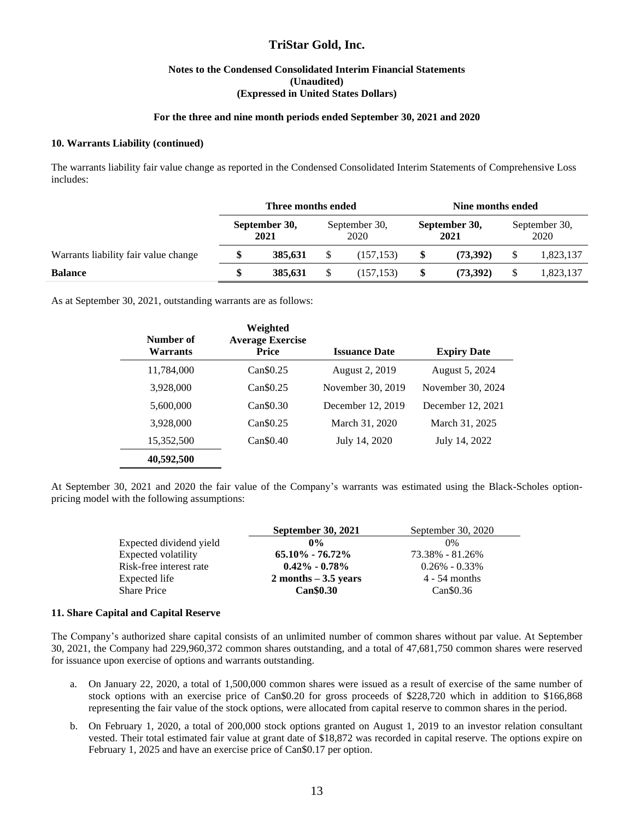#### **Notes to the Condensed Consolidated Interim Financial Statements (Unaudited) (Expressed in United States Dollars)**

#### **For the three and nine month periods ended September 30, 2021 and 2020**

#### **10. Warrants Liability (continued)**

The warrants liability fair value change as reported in the Condensed Consolidated Interim Statements of Comprehensive Loss includes:

|                                      | Three months ended    |         |                       |            | Nine months ended     |          |                       |           |
|--------------------------------------|-----------------------|---------|-----------------------|------------|-----------------------|----------|-----------------------|-----------|
|                                      | September 30,<br>2021 |         | September 30,<br>2020 |            | September 30,<br>2021 |          | September 30,<br>2020 |           |
| Warrants liability fair value change | \$                    | 385.631 |                       | (157.153)  | \$                    | (73.392) |                       | 1,823,137 |
| <b>Balance</b>                       | \$                    | 385.631 |                       | (157, 153) | \$                    | (73.392) |                       | 1,823,137 |

As at September 30, 2021, outstanding warrants are as follows:

| Number of<br><b>Warrants</b> | Weighted<br><b>Average Exercise</b><br><b>Price</b> | <b>Issuance Date</b> | <b>Expiry Date</b> |
|------------------------------|-----------------------------------------------------|----------------------|--------------------|
| 11,784,000                   | Can \$0.25                                          | August 2, 2019       | August 5, 2024     |
| 3,928,000                    | Can \$0.25                                          | November 30, 2019    | November 30, 2024  |
| 5,600,000                    | Can \$0.30                                          | December 12, 2019    | December 12, 2021  |
| 3,928,000                    | Can \$0.25                                          | March 31, 2020       | March 31, 2025     |
| 15,352,500                   | Can \$0.40                                          | July 14, 2020        | July 14, 2022      |
| 40,592,500                   |                                                     |                      |                    |

At September 30, 2021 and 2020 the fair value of the Company's warrants was estimated using the Black-Scholes optionpricing model with the following assumptions:

|                         | <b>September 30, 2021</b> | September 30, 2020 |
|-------------------------|---------------------------|--------------------|
| Expected dividend yield | $0\%$                     | $0\%$              |
| Expected volatility     | $65.10\% - 76.72\%$       | 73.38% - 81.26%    |
| Risk-free interest rate | $0.42\% - 0.78\%$         | $0.26\% - 0.33\%$  |
| Expected life           | $2$ months $-3.5$ years   | $4 - 54$ months    |
| <b>Share Price</b>      | <b>Can</b> \$0.30         | $Can \$0.36$       |

#### **11. Share Capital and Capital Reserve**

The Company's authorized share capital consists of an unlimited number of common shares without par value. At September 30, 2021, the Company had 229,960,372 common shares outstanding, and a total of 47,681,750 common shares were reserved for issuance upon exercise of options and warrants outstanding.

- a. On January 22, 2020, a total of 1,500,000 common shares were issued as a result of exercise of the same number of stock options with an exercise price of Can\$0.20 for gross proceeds of \$228,720 which in addition to \$166,868 representing the fair value of the stock options, were allocated from capital reserve to common shares in the period.
- b. On February 1, 2020, a total of 200,000 stock options granted on August 1, 2019 to an investor relation consultant vested. Their total estimated fair value at grant date of \$18,872 was recorded in capital reserve. The options expire on February 1, 2025 and have an exercise price of Can\$0.17 per option.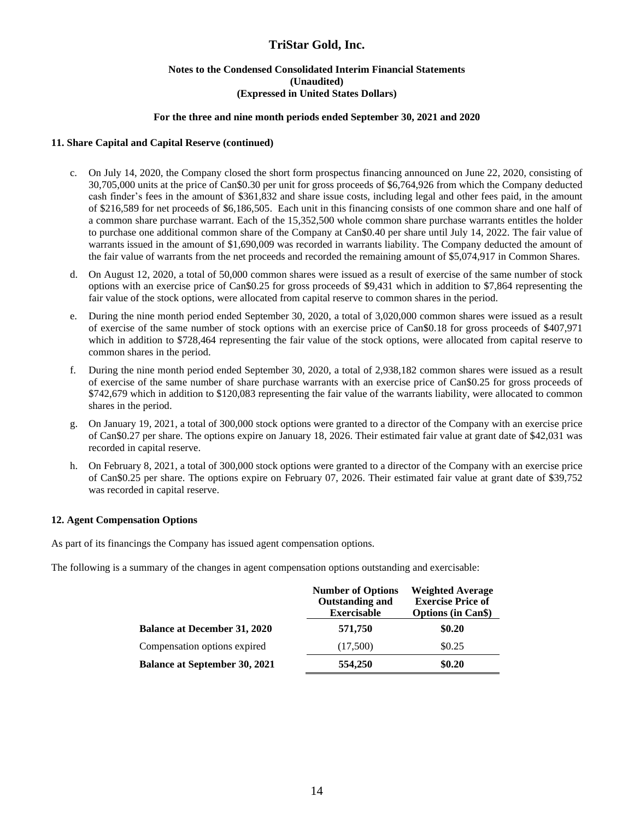#### **Notes to the Condensed Consolidated Interim Financial Statements (Unaudited) (Expressed in United States Dollars)**

#### **For the three and nine month periods ended September 30, 2021 and 2020**

#### **11. Share Capital and Capital Reserve (continued)**

- c. On July 14, 2020, the Company closed the short form prospectus financing announced on June 22, 2020, consisting of 30,705,000 units at the price of Can\$0.30 per unit for gross proceeds of \$6,764,926 from which the Company deducted cash finder's fees in the amount of \$361,832 and share issue costs, including legal and other fees paid, in the amount of \$216,589 for net proceeds of \$6,186,505. Each unit in this financing consists of one common share and one half of a common share purchase warrant. Each of the 15,352,500 whole common share purchase warrants entitles the holder to purchase one additional common share of the Company at Can\$0.40 per share until July 14, 2022. The fair value of warrants issued in the amount of \$1,690,009 was recorded in warrants liability. The Company deducted the amount of the fair value of warrants from the net proceeds and recorded the remaining amount of \$5,074,917 in Common Shares.
- d. On August 12, 2020, a total of 50,000 common shares were issued as a result of exercise of the same number of stock options with an exercise price of Can\$0.25 for gross proceeds of \$9,431 which in addition to \$7,864 representing the fair value of the stock options, were allocated from capital reserve to common shares in the period.
- e. During the nine month period ended September 30, 2020, a total of 3,020,000 common shares were issued as a result of exercise of the same number of stock options with an exercise price of Can\$0.18 for gross proceeds of \$407,971 which in addition to \$728,464 representing the fair value of the stock options, were allocated from capital reserve to common shares in the period.
- f. During the nine month period ended September 30, 2020, a total of 2,938,182 common shares were issued as a result of exercise of the same number of share purchase warrants with an exercise price of Can\$0.25 for gross proceeds of \$742,679 which in addition to \$120,083 representing the fair value of the warrants liability, were allocated to common shares in the period.
- g. On January 19, 2021, a total of 300,000 stock options were granted to a director of the Company with an exercise price of Can\$0.27 per share. The options expire on January 18, 2026. Their estimated fair value at grant date of \$42,031 was recorded in capital reserve.
- h. On February 8, 2021, a total of 300,000 stock options were granted to a director of the Company with an exercise price of Can\$0.25 per share. The options expire on February 07, 2026. Their estimated fair value at grant date of \$39,752 was recorded in capital reserve.

#### **12. Agent Compensation Options**

As part of its financings the Company has issued agent compensation options.

The following is a summary of the changes in agent compensation options outstanding and exercisable:

|                                      | <b>Number of Options</b><br><b>Outstanding and</b><br><b>Exercisable</b> | <b>Weighted Average</b><br><b>Exercise Price of</b><br><b>Options (in Can\$)</b> |
|--------------------------------------|--------------------------------------------------------------------------|----------------------------------------------------------------------------------|
| <b>Balance at December 31, 2020</b>  | 571,750                                                                  | \$0.20                                                                           |
| Compensation options expired         | (17,500)                                                                 | \$0.25                                                                           |
| <b>Balance at September 30, 2021</b> | 554,250                                                                  | \$0.20                                                                           |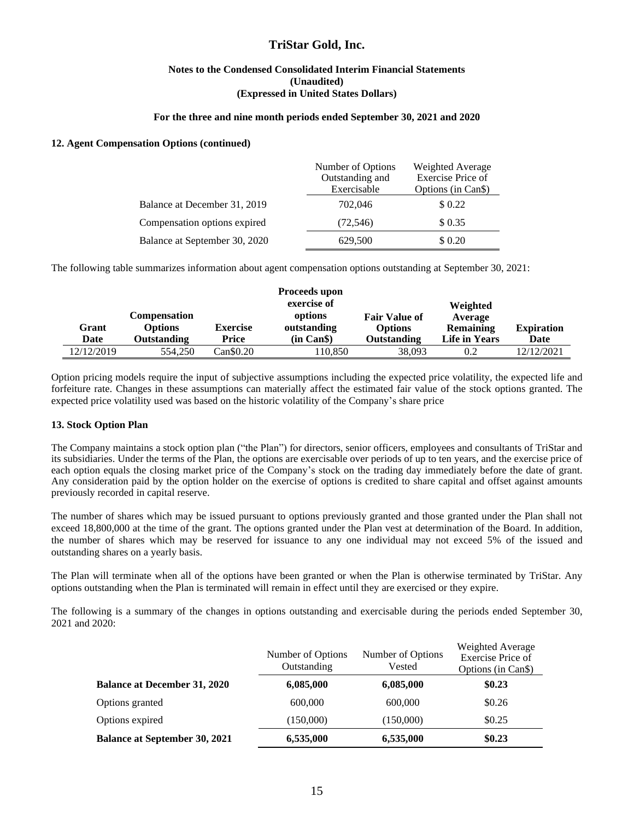#### **Notes to the Condensed Consolidated Interim Financial Statements (Unaudited) (Expressed in United States Dollars)**

#### **For the three and nine month periods ended September 30, 2021 and 2020**

#### **12. Agent Compensation Options (continued)**

|                               | Number of Options<br>Outstanding and<br>Exercisable | Weighted Average<br>Exercise Price of<br>Options (in Can <sub>\$</sub> ) |
|-------------------------------|-----------------------------------------------------|--------------------------------------------------------------------------|
| Balance at December 31, 2019  | 702,046                                             | \$0.22                                                                   |
| Compensation options expired  | (72, 546)                                           | \$0.35                                                                   |
| Balance at September 30, 2020 | 629,500                                             | \$ 0.20                                                                  |

The following table summarizes information about agent compensation options outstanding at September 30, 2021:

|               |                                                             |                          | Proceeds upon<br>exercise of |                                                | Weighted                              |                   |
|---------------|-------------------------------------------------------------|--------------------------|------------------------------|------------------------------------------------|---------------------------------------|-------------------|
| Grant<br>Date | <b>Compensation</b><br><b>Options</b><br><b>Outstanding</b> | <b>Exercise</b><br>Price | options<br>outstanding       | <b>Fair Value of</b><br>Options<br>Outstanding | Average<br>Remaining<br>Life in Years | <b>Expiration</b> |
|               |                                                             |                          | (in Can \$)                  |                                                |                                       | Date              |
| 12/12/2019    | 554,250                                                     | Can \$0.20               | 110.850                      | 38,093                                         | 0.2                                   | 12/12/2021        |

Option pricing models require the input of subjective assumptions including the expected price volatility, the expected life and forfeiture rate. Changes in these assumptions can materially affect the estimated fair value of the stock options granted. The expected price volatility used was based on the historic volatility of the Company's share price

#### **13. Stock Option Plan**

The Company maintains a stock option plan ("the Plan") for directors, senior officers, employees and consultants of TriStar and its subsidiaries. Under the terms of the Plan, the options are exercisable over periods of up to ten years, and the exercise price of each option equals the closing market price of the Company's stock on the trading day immediately before the date of grant. Any consideration paid by the option holder on the exercise of options is credited to share capital and offset against amounts previously recorded in capital reserve.

The number of shares which may be issued pursuant to options previously granted and those granted under the Plan shall not exceed 18,800,000 at the time of the grant. The options granted under the Plan vest at determination of the Board. In addition, the number of shares which may be reserved for issuance to any one individual may not exceed 5% of the issued and outstanding shares on a yearly basis.

The Plan will terminate when all of the options have been granted or when the Plan is otherwise terminated by TriStar. Any options outstanding when the Plan is terminated will remain in effect until they are exercised or they expire.

The following is a summary of the changes in options outstanding and exercisable during the periods ended September 30, 2021 and 2020:

|                                      | Number of Options<br>Outstanding | Number of Options<br>Vested | Weighted Average<br><b>Exercise Price of</b><br>Options (in Can <sub>s</sub> ) |  |  |
|--------------------------------------|----------------------------------|-----------------------------|--------------------------------------------------------------------------------|--|--|
| <b>Balance at December 31, 2020</b>  | 6,085,000                        | 6,085,000                   | \$0.23                                                                         |  |  |
| Options granted                      | 600,000                          | 600,000                     | \$0.26                                                                         |  |  |
| Options expired                      | (150,000)                        | (150,000)                   | \$0.25                                                                         |  |  |
| <b>Balance at September 30, 2021</b> | 6,535,000                        | 6,535,000                   | \$0.23                                                                         |  |  |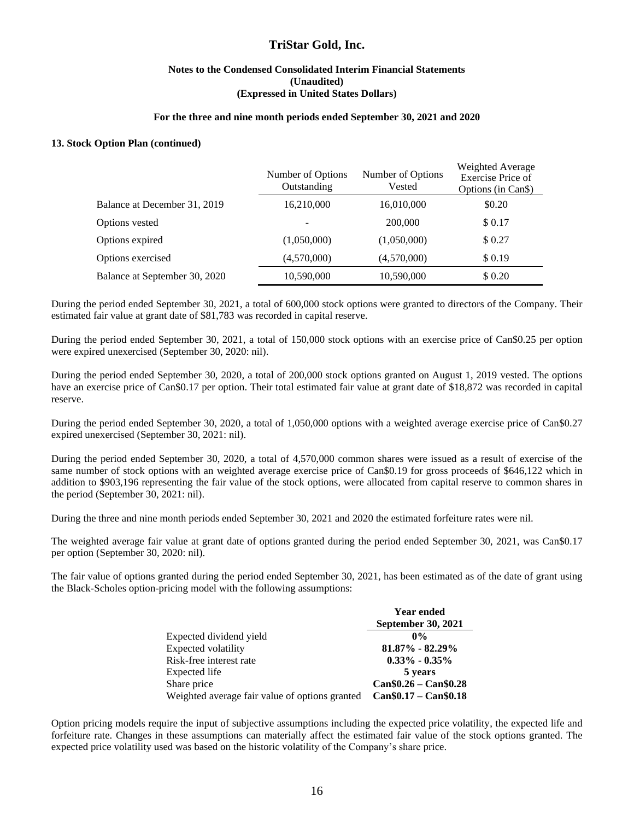#### **Notes to the Condensed Consolidated Interim Financial Statements (Unaudited) (Expressed in United States Dollars)**

#### **For the three and nine month periods ended September 30, 2021 and 2020**

#### **13. Stock Option Plan (continued)**

|                               | Number of Options<br>Outstanding | Number of Options<br>Vested | Weighted Average<br>Exercise Price of<br>Options (in Can <sub>\$</sub> ) |
|-------------------------------|----------------------------------|-----------------------------|--------------------------------------------------------------------------|
| Balance at December 31, 2019  | 16,210,000                       | 16,010,000                  | \$0.20                                                                   |
| Options vested                |                                  | 200,000                     | \$0.17                                                                   |
| Options expired               | (1,050,000)                      | (1,050,000)                 | \$0.27                                                                   |
| Options exercised             | (4,570,000)                      | (4,570,000)                 | \$0.19                                                                   |
| Balance at September 30, 2020 | 10,590,000                       | 10,590,000                  | \$0.20                                                                   |

During the period ended September 30, 2021, a total of 600,000 stock options were granted to directors of the Company. Their estimated fair value at grant date of \$81,783 was recorded in capital reserve.

During the period ended September 30, 2021, a total of 150,000 stock options with an exercise price of Can\$0.25 per option were expired unexercised (September 30, 2020: nil).

During the period ended September 30, 2020, a total of 200,000 stock options granted on August 1, 2019 vested. The options have an exercise price of Can\$0.17 per option. Their total estimated fair value at grant date of \$18,872 was recorded in capital reserve.

During the period ended September 30, 2020, a total of 1,050,000 options with a weighted average exercise price of Can\$0.27 expired unexercised (September 30, 2021: nil).

During the period ended September 30, 2020, a total of 4,570,000 common shares were issued as a result of exercise of the same number of stock options with an weighted average exercise price of Can\$0.19 for gross proceeds of \$646,122 which in addition to \$903,196 representing the fair value of the stock options, were allocated from capital reserve to common shares in the period (September 30, 2021: nil).

During the three and nine month periods ended September 30, 2021 and 2020 the estimated forfeiture rates were nil.

The weighted average fair value at grant date of options granted during the period ended September 30, 2021, was Can\$0.17 per option (September 30, 2020: nil).

The fair value of options granted during the period ended September 30, 2021, has been estimated as of the date of grant using the Black-Scholes option-pricing model with the following assumptions:

|                                                | <b>Year ended</b>         |
|------------------------------------------------|---------------------------|
|                                                | September 30, 2021        |
| Expected dividend yield                        | $0\%$                     |
| Expected volatility                            | $81.87\% - 82.29\%$       |
| Risk-free interest rate                        | $0.33\% - 0.35\%$         |
| Expected life                                  | 5 years                   |
| Share price                                    | $Can \$0.26 - Can \$0.28$ |
| Weighted average fair value of options granted | $Can $0.17 - Can $0.18$   |

Option pricing models require the input of subjective assumptions including the expected price volatility, the expected life and forfeiture rate. Changes in these assumptions can materially affect the estimated fair value of the stock options granted. The expected price volatility used was based on the historic volatility of the Company's share price.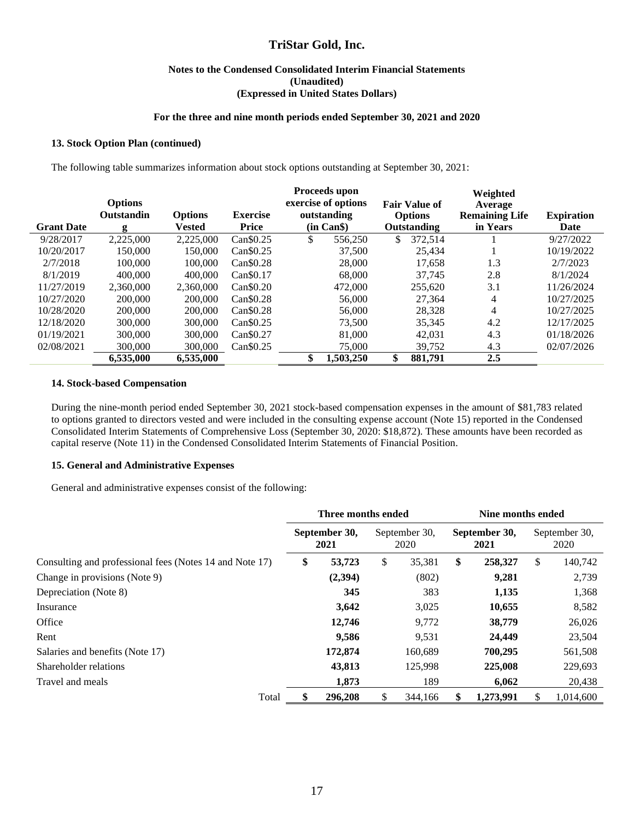#### **Notes to the Condensed Consolidated Interim Financial Statements (Unaudited) (Expressed in United States Dollars)**

#### **For the three and nine month periods ended September 30, 2021 and 2020**

#### **13. Stock Option Plan (continued)**

The following table summarizes information about stock options outstanding at September 30, 2021:

|                   | <b>Options</b><br><b>Outstandin</b> | <b>Options</b> | <b>Exercise</b>       | Proceeds upon<br>exercise of options<br>outstanding | <b>Fair Value of</b><br><b>Options</b> | Weighted<br>Average<br><b>Remaining Life</b> | <b>Expiration</b> |
|-------------------|-------------------------------------|----------------|-----------------------|-----------------------------------------------------|----------------------------------------|----------------------------------------------|-------------------|
| <b>Grant Date</b> | g                                   | <b>Vested</b>  | Price                 | (in Can \$)                                         | Outstanding                            | in Years                                     | Date              |
| 9/28/2017         | 2.225,000                           | 2,225,000      | Can\$0.25             | \$<br>556,250                                       | 372.514<br>\$                          |                                              | 9/27/2022         |
| 10/20/2017        | 150.000                             | 150.000        | $Can \$0.25$          | 37,500                                              | 25.434                                 |                                              | 10/19/2022        |
| 2/7/2018          | 100,000                             | 100,000        | Can \$0.28            | 28,000                                              | 17.658                                 | 1.3                                          | 2/7/2023          |
| 8/1/2019          | 400,000                             | 400,000        | Can <sub>\$0.17</sub> | 68,000                                              | 37.745                                 | 2.8                                          | 8/1/2024          |
| 11/27/2019        | 2.360,000                           | 2.360,000      | Can \$0.20            | 472,000                                             | 255.620                                | 3.1                                          | 11/26/2024        |
| 10/27/2020        | 200,000                             | 200,000        | Can \$0.28            | 56,000                                              | 27,364                                 | 4                                            | 10/27/2025        |
| 10/28/2020        | 200,000                             | 200,000        | Can \$0.28            | 56,000                                              | 28.328                                 | 4                                            | 10/27/2025        |
| 12/18/2020        | 300,000                             | 300,000        | Can\$0.25             | 73,500                                              | 35,345                                 | 4.2                                          | 12/17/2025        |
| 01/19/2021        | 300,000                             | 300,000        | Can <sub>\$0.27</sub> | 81,000                                              | 42,031                                 | 4.3                                          | 01/18/2026        |
| 02/08/2021        | 300,000                             | 300,000        | Can\$0.25             | 75,000                                              | 39,752                                 | 4.3                                          | 02/07/2026        |
|                   | 6,535,000                           | 6,535,000      |                       | \$<br>1,503,250                                     | \$<br>881.791                          | 2.5                                          |                   |

#### **14. Stock-based Compensation**

During the nine-month period ended September 30, 2021 stock-based compensation expenses in the amount of \$81,783 related to options granted to directors vested and were included in the consulting expense account (Note 15) reported in the Condensed Consolidated Interim Statements of Comprehensive Loss (September 30, 2020: \$18,872). These amounts have been recorded as capital reserve (Note 11) in the Condensed Consolidated Interim Statements of Financial Position.

#### **15. General and Administrative Expenses**

General and administrative expenses consist of the following:

|                                                         | Three months ended |                       |    |                       | Nine months ended     |           |                       |           |
|---------------------------------------------------------|--------------------|-----------------------|----|-----------------------|-----------------------|-----------|-----------------------|-----------|
|                                                         |                    | September 30,<br>2021 |    | September 30.<br>2020 | September 30,<br>2021 |           | September 30,<br>2020 |           |
| Consulting and professional fees (Notes 14 and Note 17) | \$                 | 53,723                | \$ | 35,381                | \$                    | 258,327   | \$                    | 140,742   |
| Change in provisions (Note 9)                           |                    | (2,394)               |    | (802)                 |                       | 9,281     |                       | 2,739     |
| Depreciation (Note 8)                                   |                    | 345                   |    | 383                   |                       | 1,135     |                       | 1,368     |
| Insurance                                               |                    | 3,642                 |    | 3,025                 |                       | 10,655    |                       | 8,582     |
| Office                                                  |                    | 12,746                |    | 9,772                 |                       | 38,779    |                       | 26,026    |
| Rent                                                    |                    | 9,586                 |    | 9,531                 |                       | 24,449    |                       | 23,504    |
| Salaries and benefits (Note 17)                         |                    | 172,874               |    | 160,689               |                       | 700,295   |                       | 561,508   |
| Shareholder relations                                   |                    | 43,813                |    | 125,998               |                       | 225,008   |                       | 229,693   |
| Travel and meals                                        |                    | 1,873                 |    | 189                   |                       | 6,062     |                       | 20,438    |
| Total                                                   |                    | 296,208               | S  | 344,166               | S                     | 1,273,991 | S                     | 1.014.600 |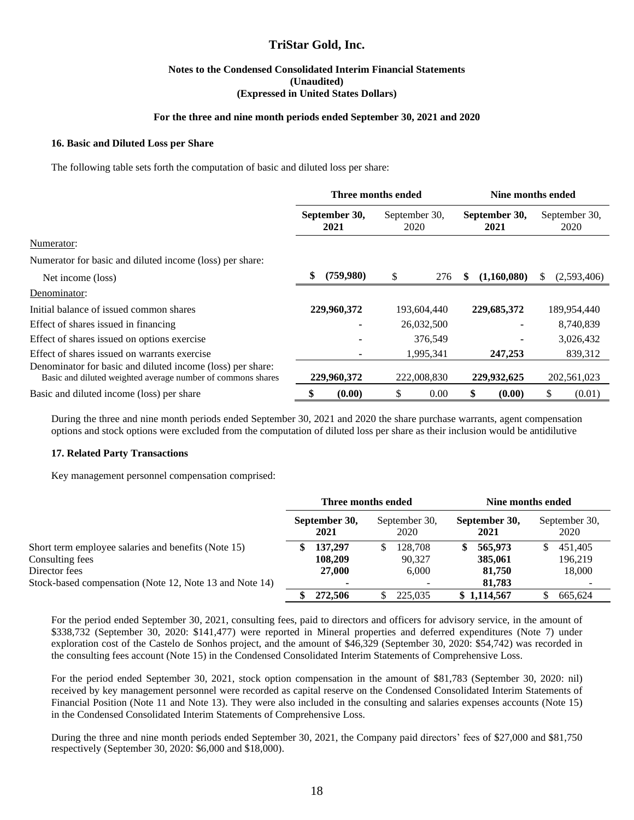#### **Notes to the Condensed Consolidated Interim Financial Statements (Unaudited) (Expressed in United States Dollars)**

#### **For the three and nine month periods ended September 30, 2021 and 2020**

#### **16. Basic and Diluted Loss per Share**

The following table sets forth the computation of basic and diluted loss per share:

|                                                                                                                           | Three months ended |                       |                       |             | Nine months ended |                       |    |                       |
|---------------------------------------------------------------------------------------------------------------------------|--------------------|-----------------------|-----------------------|-------------|-------------------|-----------------------|----|-----------------------|
|                                                                                                                           |                    | September 30,<br>2021 | September 30,<br>2020 |             |                   | September 30,<br>2021 |    | September 30,<br>2020 |
| Numerator:                                                                                                                |                    |                       |                       |             |                   |                       |    |                       |
| Numerator for basic and diluted income (loss) per share:                                                                  |                    |                       |                       |             |                   |                       |    |                       |
| Net income (loss)                                                                                                         | \$                 | (759,980)             | \$                    | 276         | S                 | (1,160,080)           | S. | (2,593,406)           |
| Denominator:                                                                                                              |                    |                       |                       |             |                   |                       |    |                       |
| Initial balance of issued common shares                                                                                   |                    | 229,960,372           |                       | 193,604,440 |                   | 229,685,372           |    | 189,954,440           |
| Effect of shares issued in financing                                                                                      |                    |                       |                       | 26,032,500  |                   |                       |    | 8,740,839             |
| Effect of shares issued on options exercise                                                                               |                    |                       |                       | 376,549     |                   |                       |    | 3,026,432             |
| Effect of shares issued on warrants exercise                                                                              |                    |                       |                       | 1,995,341   |                   | 247,253               |    | 839,312               |
| Denominator for basic and diluted income (loss) per share:<br>Basic and diluted weighted average number of commons shares |                    | 229,960,372           |                       | 222,008,830 |                   | 229,932,625           |    | 202,561,023           |
| Basic and diluted income (loss) per share                                                                                 |                    | (0.00)                | S                     | 0.00        |                   | (0.00)                |    | (0.01)                |

During the three and nine month periods ended September 30, 2021 and 2020 the share purchase warrants, agent compensation options and stock options were excluded from the computation of diluted loss per share as their inclusion would be antidilutive

#### **17. Related Party Transactions**

Key management personnel compensation comprised:

|                                                         | Three months ended |                       |  |                       | Nine months ended |                       |  |                          |  |
|---------------------------------------------------------|--------------------|-----------------------|--|-----------------------|-------------------|-----------------------|--|--------------------------|--|
|                                                         |                    | September 30,<br>2021 |  | September 30,<br>2020 |                   | September 30,<br>2021 |  | September 30,<br>2020    |  |
| Short term employee salaries and benefits (Note 15)     |                    | 137,297               |  | 128,708               |                   | 565,973               |  | 451,405                  |  |
| Consulting fees                                         |                    | 108,209               |  | 90.327                |                   | 385,061               |  | 196,219                  |  |
| Director fees                                           |                    | 27,000                |  | 6,000                 |                   | 81,750                |  | 18,000                   |  |
| Stock-based compensation (Note 12, Note 13 and Note 14) |                    |                       |  |                       |                   | 81,783                |  | $\overline{\phantom{0}}$ |  |
|                                                         |                    | 272,506               |  | 225,035               |                   | \$1,114,567           |  | 665.624                  |  |

For the period ended September 30, 2021, consulting fees, paid to directors and officers for advisory service, in the amount of \$338,732 (September 30, 2020: \$141,477) were reported in Mineral properties and deferred expenditures (Note 7) under exploration cost of the Castelo de Sonhos project, and the amount of \$46,329 (September 30, 2020: \$54,742) was recorded in the consulting fees account (Note 15) in the Condensed Consolidated Interim Statements of Comprehensive Loss.

For the period ended September 30, 2021, stock option compensation in the amount of \$81,783 (September 30, 2020: nil) received by key management personnel were recorded as capital reserve on the Condensed Consolidated Interim Statements of Financial Position (Note 11 and Note 13). They were also included in the consulting and salaries expenses accounts (Note 15) in the Condensed Consolidated Interim Statements of Comprehensive Loss.

During the three and nine month periods ended September 30, 2021, the Company paid directors' fees of \$27,000 and \$81,750 respectively (September 30, 2020: \$6,000 and \$18,000).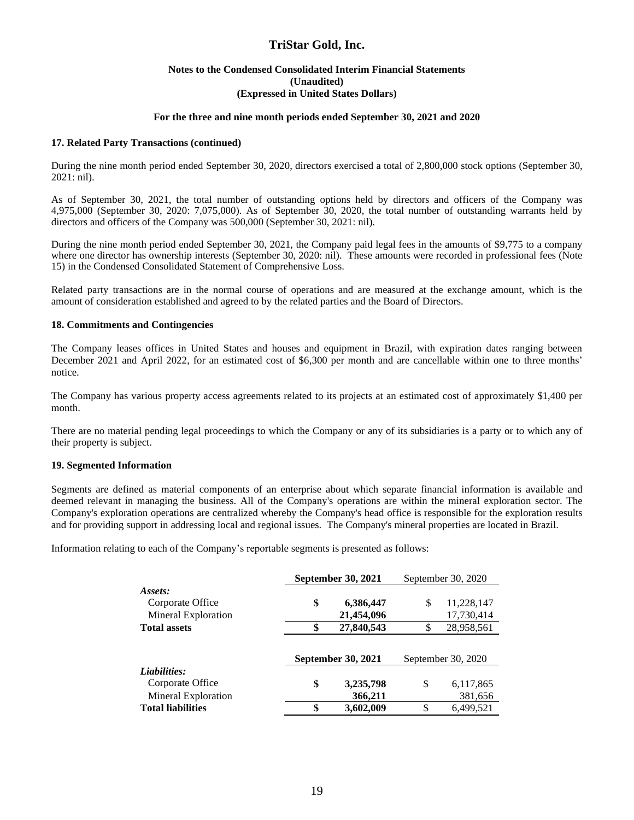#### **Notes to the Condensed Consolidated Interim Financial Statements (Unaudited) (Expressed in United States Dollars)**

#### **For the three and nine month periods ended September 30, 2021 and 2020**

#### **17. Related Party Transactions (continued)**

During the nine month period ended September 30, 2020, directors exercised a total of 2,800,000 stock options (September 30, 2021: nil).

As of September 30, 2021, the total number of outstanding options held by directors and officers of the Company was 4,975,000 (September 30, 2020: 7,075,000). As of September 30, 2020, the total number of outstanding warrants held by directors and officers of the Company was 500,000 (September 30, 2021: nil).

During the nine month period ended September 30, 2021, the Company paid legal fees in the amounts of \$9,775 to a company where one director has ownership interests (September 30, 2020: nil). These amounts were recorded in professional fees (Note 15) in the Condensed Consolidated Statement of Comprehensive Loss.

Related party transactions are in the normal course of operations and are measured at the exchange amount, which is the amount of consideration established and agreed to by the related parties and the Board of Directors.

#### **18. Commitments and Contingencies**

The Company leases offices in United States and houses and equipment in Brazil, with expiration dates ranging between December 2021 and April 2022, for an estimated cost of \$6,300 per month and are cancellable within one to three months' notice.

The Company has various property access agreements related to its projects at an estimated cost of approximately \$1,400 per month.

There are no material pending legal proceedings to which the Company or any of its subsidiaries is a party or to which any of their property is subject.

#### **19. Segmented Information**

Segments are defined as material components of an enterprise about which separate financial information is available and deemed relevant in managing the business. All of the Company's operations are within the mineral exploration sector. The Company's exploration operations are centralized whereby the Company's head office is responsible for the exploration results and for providing support in addressing local and regional issues. The Company's mineral properties are located in Brazil.

Information relating to each of the Company's reportable segments is presented as follows:

|                          | <b>September 30, 2021</b> | September 30, 2020 |                    |  |  |
|--------------------------|---------------------------|--------------------|--------------------|--|--|
| Assets:                  |                           |                    |                    |  |  |
| Corporate Office         | \$<br>6,386,447           | \$                 | 11,228,147         |  |  |
| Mineral Exploration      | 21,454,096                |                    | 17,730,414         |  |  |
| <b>Total assets</b>      | \$<br>27,840,543          | \$                 | 28,958,561         |  |  |
|                          |                           |                    |                    |  |  |
|                          | September 30, 2021        |                    | September 30, 2020 |  |  |
| Liabilities:             |                           |                    |                    |  |  |
| Corporate Office         | \$<br>3,235,798           | \$                 | 6,117,865          |  |  |
| Mineral Exploration      | 366,211                   |                    | 381,656            |  |  |
| <b>Total liabilities</b> | \$<br>3,602,009           |                    | 6.499.521          |  |  |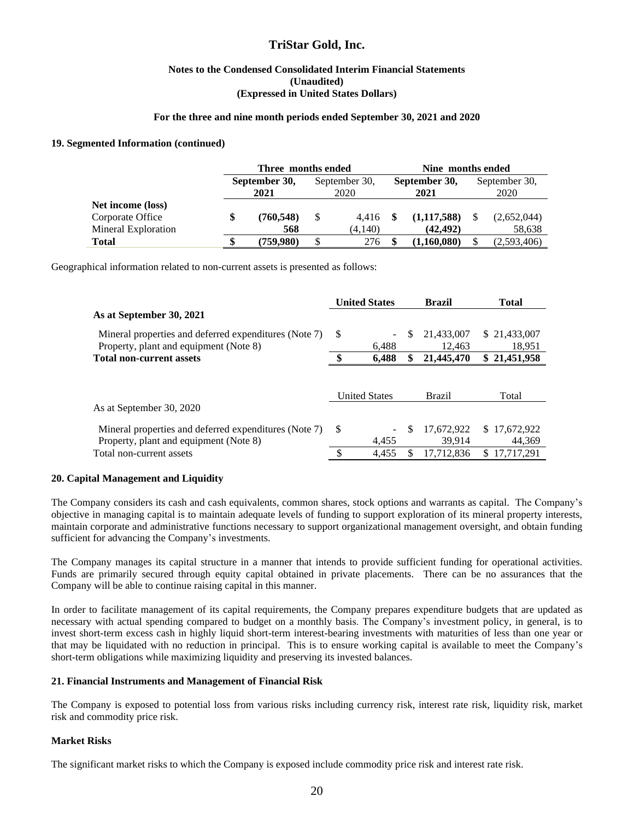#### **Notes to the Condensed Consolidated Interim Financial Statements (Unaudited) (Expressed in United States Dollars)**

#### **For the three and nine month periods ended September 30, 2021 and 2020**

#### **19. Segmented Information (continued)**

|                     | Three months ended |                       |   |                       | Nine months ended |                       |  |                       |  |  |  |
|---------------------|--------------------|-----------------------|---|-----------------------|-------------------|-----------------------|--|-----------------------|--|--|--|
|                     |                    | September 30,<br>2021 |   | September 30,<br>2020 |                   | September 30,<br>2021 |  | September 30,<br>2020 |  |  |  |
|                     |                    |                       |   |                       |                   |                       |  |                       |  |  |  |
| Net income (loss)   |                    |                       |   |                       |                   |                       |  |                       |  |  |  |
| Corporate Office    |                    | (760, 548)            | S | 4.416                 |                   | (1,117,588)           |  | (2,652,044)           |  |  |  |
| Mineral Exploration |                    | 568                   |   | (4.140)               |                   | (42, 492)             |  | 58,638                |  |  |  |
| <b>Total</b>        |                    | (759.980)             | S | 276                   |                   | (1,160,080)           |  | (2,593,406)           |  |  |  |

Geographical information related to non-current assets is presented as follows:

|                                                                           |   | <b>United States</b> |    | <b>Brazil</b> | Total        |
|---------------------------------------------------------------------------|---|----------------------|----|---------------|--------------|
| As at September 30, 2021                                                  |   |                      |    |               |              |
| Mineral properties and deferred expenditures (Note 7)                     | S |                      | S  | 21,433,007    | \$21,433,007 |
| Property, plant and equipment (Note 8)<br><b>Total non-current assets</b> |   | 6.488                |    | 12.463        | 18,951       |
|                                                                           |   | 6,488                | \$ | 21,445,470    | \$21,451,958 |
|                                                                           |   | <b>United States</b> |    | <b>Brazil</b> | Total        |
| As at September 30, 2020                                                  |   |                      |    |               |              |
| Mineral properties and deferred expenditures (Note 7)                     | S |                      | S  | 17,672,922    | \$17,672,922 |
| Property, plant and equipment (Note 8)                                    |   | 4.455                |    | 39.914        | 44,369       |
|                                                                           |   |                      |    |               |              |

#### **20. Capital Management and Liquidity**

The Company considers its cash and cash equivalents, common shares, stock options and warrants as capital. The Company's objective in managing capital is to maintain adequate levels of funding to support exploration of its mineral property interests, maintain corporate and administrative functions necessary to support organizational management oversight, and obtain funding sufficient for advancing the Company's investments.

The Company manages its capital structure in a manner that intends to provide sufficient funding for operational activities. Funds are primarily secured through equity capital obtained in private placements. There can be no assurances that the Company will be able to continue raising capital in this manner.

In order to facilitate management of its capital requirements, the Company prepares expenditure budgets that are updated as necessary with actual spending compared to budget on a monthly basis. The Company's investment policy, in general, is to invest short-term excess cash in highly liquid short-term interest-bearing investments with maturities of less than one year or that may be liquidated with no reduction in principal. This is to ensure working capital is available to meet the Company's short-term obligations while maximizing liquidity and preserving its invested balances.

#### **21. Financial Instruments and Management of Financial Risk**

The Company is exposed to potential loss from various risks including currency risk, interest rate risk, liquidity risk, market risk and commodity price risk.

#### **Market Risks**

The significant market risks to which the Company is exposed include commodity price risk and interest rate risk.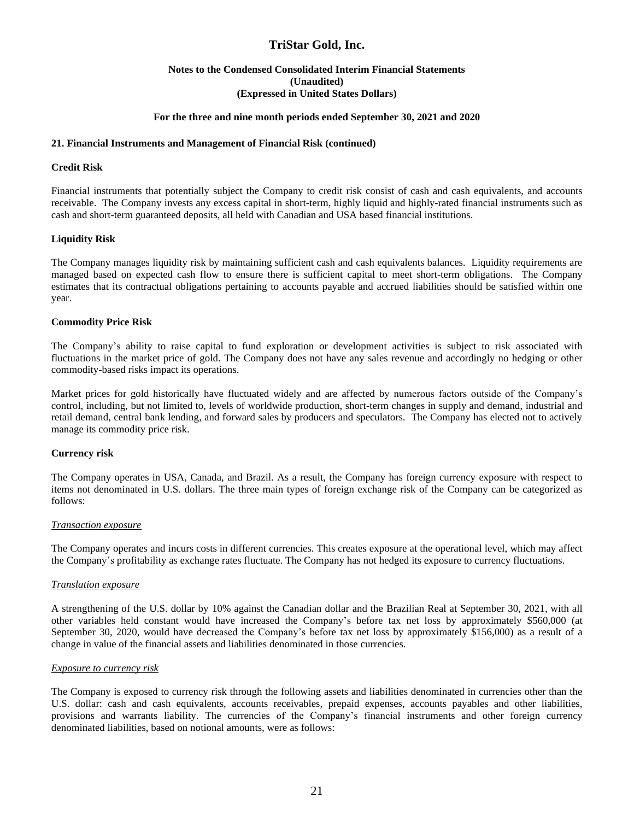#### **Notes to the Condensed Consolidated Interim Financial Statements (Unaudited) (Expressed in United States Dollars)**

#### **For the three and nine month periods ended September 30, 2021 and 2020**

#### **21. Financial Instruments and Management of Financial Risk (continued)**

#### **Credit Risk**

Financial instruments that potentially subject the Company to credit risk consist of cash and cash equivalents, and accounts receivable. The Company invests any excess capital in short-term, highly liquid and highly-rated financial instruments such as cash and short-term guaranteed deposits, all held with Canadian and USA based financial institutions.

#### **Liquidity Risk**

The Company manages liquidity risk by maintaining sufficient cash and cash equivalents balances. Liquidity requirements are managed based on expected cash flow to ensure there is sufficient capital to meet short-term obligations. The Company estimates that its contractual obligations pertaining to accounts payable and accrued liabilities should be satisfied within one year.

#### **Commodity Price Risk**

The Company's ability to raise capital to fund exploration or development activities is subject to risk associated with fluctuations in the market price of gold. The Company does not have any sales revenue and accordingly no hedging or other commodity-based risks impact its operations.

Market prices for gold historically have fluctuated widely and are affected by numerous factors outside of the Company's control, including, but not limited to, levels of worldwide production, short-term changes in supply and demand, industrial and retail demand, central bank lending, and forward sales by producers and speculators. The Company has elected not to actively manage its commodity price risk.

#### **Currency risk**

The Company operates in USA, Canada, and Brazil. As a result, the Company has foreign currency exposure with respect to items not denominated in U.S. dollars. The three main types of foreign exchange risk of the Company can be categorized as follows:

#### *Transaction exposure*

The Company operates and incurs costs in different currencies. This creates exposure at the operational level, which may affect the Company's profitability as exchange rates fluctuate. The Company has not hedged its exposure to currency fluctuations.

#### *Translation exposure*

A strengthening of the U.S. dollar by 10% against the Canadian dollar and the Brazilian Real at September 30, 2021, with all other variables held constant would have increased the Company's before tax net loss by approximately \$560,000 (at September 30, 2020, would have decreased the Company's before tax net loss by approximately \$156,000) as a result of a change in value of the financial assets and liabilities denominated in those currencies.

#### *Exposure to currency risk*

The Company is exposed to currency risk through the following assets and liabilities denominated in currencies other than the U.S. dollar: cash and cash equivalents, accounts receivables, prepaid expenses, accounts payables and other liabilities, provisions and warrants liability. The currencies of the Company's financial instruments and other foreign currency denominated liabilities, based on notional amounts, were as follows: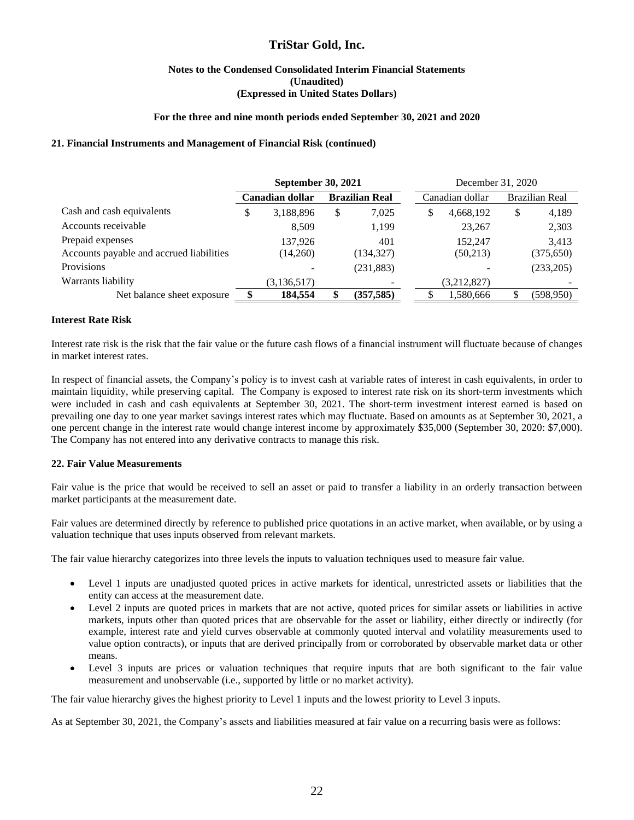#### **Notes to the Condensed Consolidated Interim Financial Statements (Unaudited) (Expressed in United States Dollars)**

#### **For the three and nine month periods ended September 30, 2021 and 2020**

#### **21. Financial Instruments and Management of Financial Risk (continued)**

|                                          | <b>September 30, 2021</b> |                 |    |                       | December 31, 2020 |                 |    |                       |  |  |
|------------------------------------------|---------------------------|-----------------|----|-----------------------|-------------------|-----------------|----|-----------------------|--|--|
|                                          |                           | Canadian dollar |    | <b>Brazilian Real</b> |                   | Canadian dollar |    | <b>Brazilian Real</b> |  |  |
| Cash and cash equivalents                | \$                        | 3,188,896       | \$ | 7,025                 | \$                | 4,668,192       | \$ | 4,189                 |  |  |
| Accounts receivable                      |                           | 8.509           |    | 1,199                 |                   | 23,267          |    | 2,303                 |  |  |
| Prepaid expenses                         |                           | 137.926         |    | 401                   |                   | 152,247         |    | 3,413                 |  |  |
| Accounts payable and accrued liabilities |                           | (14,260)        |    | (134, 327)            |                   | (50,213)        |    | (375, 650)            |  |  |
| Provisions                               |                           |                 |    | (231, 883)            |                   |                 |    | (233,205)             |  |  |
| Warrants liability                       |                           | (3,136,517)     |    |                       |                   | (3,212,827)     |    |                       |  |  |
| Net balance sheet exposure               |                           | 184,554         |    | (357, 585)            |                   | 1,580,666       |    | (598,950)             |  |  |

#### **Interest Rate Risk**

Interest rate risk is the risk that the fair value or the future cash flows of a financial instrument will fluctuate because of changes in market interest rates.

In respect of financial assets, the Company's policy is to invest cash at variable rates of interest in cash equivalents, in order to maintain liquidity, while preserving capital. The Company is exposed to interest rate risk on its short-term investments which were included in cash and cash equivalents at September 30, 2021. The short-term investment interest earned is based on prevailing one day to one year market savings interest rates which may fluctuate. Based on amounts as at September 30, 2021, a one percent change in the interest rate would change interest income by approximately \$35,000 (September 30, 2020: \$7,000). The Company has not entered into any derivative contracts to manage this risk.

#### **22. Fair Value Measurements**

Fair value is the price that would be received to sell an asset or paid to transfer a liability in an orderly transaction between market participants at the measurement date.

Fair values are determined directly by reference to published price quotations in an active market, when available, or by using a valuation technique that uses inputs observed from relevant markets.

The fair value hierarchy categorizes into three levels the inputs to valuation techniques used to measure fair value.

- Level 1 inputs are unadjusted quoted prices in active markets for identical, unrestricted assets or liabilities that the entity can access at the measurement date.
- Level 2 inputs are quoted prices in markets that are not active, quoted prices for similar assets or liabilities in active markets, inputs other than quoted prices that are observable for the asset or liability, either directly or indirectly (for example, interest rate and yield curves observable at commonly quoted interval and volatility measurements used to value option contracts), or inputs that are derived principally from or corroborated by observable market data or other means.
- Level 3 inputs are prices or valuation techniques that require inputs that are both significant to the fair value measurement and unobservable (i.e., supported by little or no market activity).

The fair value hierarchy gives the highest priority to Level 1 inputs and the lowest priority to Level 3 inputs.

As at September 30, 2021, the Company's assets and liabilities measured at fair value on a recurring basis were as follows: